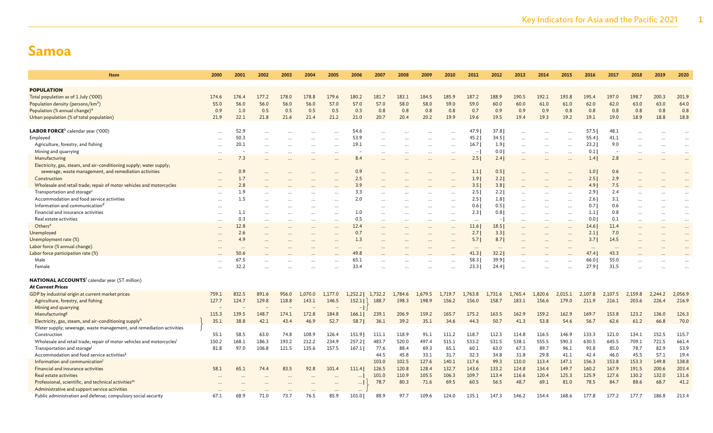| <b>Item</b>                                                                       | 2000      | 2001     | 2002  | 2003  | 2004      | 2005      | 2006      | 2007    | 2008      | 2009      | 2010     | 2011         | 2012                     | 2013      | 2014    | 2015      | 2016     | 2017     | 2018      | 2019    | 2020      |
|-----------------------------------------------------------------------------------|-----------|----------|-------|-------|-----------|-----------|-----------|---------|-----------|-----------|----------|--------------|--------------------------|-----------|---------|-----------|----------|----------|-----------|---------|-----------|
| <b>POPULATION</b>                                                                 |           |          |       |       |           |           |           |         |           |           |          |              |                          |           |         |           |          |          |           |         |           |
| Total population as of 1 July ('000)                                              | 174.6     | 176.4    | 177.2 | 178.0 | 178.8     | 179.6     | 180.2     | 181.7   | 183.1     | 184.5     | 185.9    | 187.2        | 188.9                    | 190.5     | 192.1   | 193.8     | 195.4    | 197.0    | 198.7     | 200.3   | 201.9     |
| Population density (persons/km <sup>2</sup> )                                     | 55.0      | 56.0     | 56.0  | 56.0  | 56.0      | 57.0      | 57.0      | 57.0    | 58.0      | 58.0      | 59.0     | 59.0         | 60.0                     | 60.0      | 61.0    | 61.0      | 62.0     | 62.0     | 63.0      | 63.0    | 64.0      |
| Population (% annual change) <sup>a</sup>                                         | 0.9       | 1.0      | 0.5   | 0.5   | 0.5       | 0.5       | 0.3       | 0.8     | 0.8       | 0.8       | 0.8      | 0.7          | 0.9                      | 0.9       | 0.9     | 0.8       | 0.8      | 0.8      | 0.8       | 0.8     | 0.8       |
| Urban population (% of total population)                                          | 21.9      | 22.1     | 21.8  | 21.6  | 21.4      | 21.2      | 21.0      | 20.7    | 20.4      | 20.2      | 19.9     | 19.6         | 19.5                     | 19.4      | 19.3    | 19.2      | 19.1     | 19.0     | 18.9      | 18.8    | 18.8      |
|                                                                                   |           |          |       |       |           |           |           |         |           |           |          |              |                          |           |         |           |          |          |           |         |           |
| LABOR FORCE <sup>b</sup> calendar year ('000)                                     | $\ddotsc$ | 52.9     |       |       |           |           | 54.6      |         |           |           |          | 47.9         | 37.8                     |           |         |           | 57.5     | 48.1     |           |         |           |
| Employed                                                                          |           | 50.3     |       |       |           | $\cdots$  | 53.9      |         |           |           |          | 45.2         | 34.5                     |           |         | $\ddotsc$ | 55.4     | 41.1     |           |         |           |
| Agriculture, forestry, and fishing                                                | $\ddotsc$ | 20.1     |       |       | $\cdots$  | $\ddots$  | 19.1      |         |           | $\ddots$  |          | 16.7         | 1.9                      |           |         | $\cdots$  | 23.2     | 9.0      |           |         |           |
| Mining and quarrying                                                              | $\ddotsc$ |          |       |       |           | $\ddots$  |           |         |           | $\ddotsc$ |          | $\mathbf{I}$ | 0.01                     |           |         |           | 0.1      |          |           |         |           |
| Manufacturing                                                                     | $\ddotsc$ | 7.3      |       |       |           | $\cdots$  | 8.4       |         |           | $\ddotsc$ |          | 2.5          | 2.4                      | $\ddotsc$ |         |           | 1.4      | 2.8      |           |         |           |
| Electricity, gas, steam, and air-conditioning supply; water supply;               |           |          |       |       |           |           |           |         |           |           |          |              |                          |           |         |           |          |          |           |         |           |
| sewerage, waste management, and remediation activities                            |           | 0.9      |       |       |           | $\ddots$  | 0.9       |         |           | $\ddotsc$ |          | 1.1          | 0.5                      |           |         |           | 1.0      | 0.6      |           |         |           |
| Construction                                                                      | .         | 1.7      |       |       |           | $\ddotsc$ | 2.5       |         |           |           |          | 1.9          | 2.2                      |           |         | $\ddotsc$ | 2.5      | 2.9      |           |         |           |
| Wholesale and retail trade; repair of motor vehicles and motorcycles              |           | 2.8      |       |       |           |           | 3.9       |         |           |           |          | 3.5          | 3.8                      |           |         |           | 4.9      | 7.5      |           |         |           |
| Transportation and storage <sup>c</sup>                                           | $\cdots$  | 1.9      |       |       |           | $\ddots$  | 3.3       |         |           | $\cdots$  |          | 2.5          | 2.2                      |           |         |           | 2.91     | 2.4      | $\ddotsc$ |         |           |
| Accommodation and food service activities                                         | $\cdots$  | 1.5      |       |       |           | $\cdots$  | 2.0       |         | $\cdots$  | $\cdots$  | $\cdots$ | 2.5          | 1.8                      |           |         |           | 2.6      | 3.1      | $\ddotsc$ |         | $\ddotsc$ |
| Information and communication <sup>d</sup>                                        | $\ddotsc$ |          |       |       | $\cdots$  | $\cdots$  |           |         |           | $\cdots$  |          | 0.6          | 0.5                      |           |         | $\cdots$  | 0.7      | 0.6      |           |         |           |
| Financial and insurance activities                                                | $\ddotsc$ | 1.1      |       |       | $\ddotsc$ | $\ddotsc$ | 1.0       |         |           | $\ddotsc$ |          | 2.3          | 0.8                      |           |         | $\ddotsc$ | 1.1      | 0.8      |           |         |           |
| Real estate activities                                                            |           | 0.3      |       |       |           | $\cdots$  | 0.5       |         | $\cdots$  | $\cdots$  |          | $\ldots$     | $\overline{\phantom{a}}$ |           |         |           | 0.0      | 0.1      |           |         |           |
| Others <sup>e</sup>                                                               | $\ddotsc$ | 12.8     |       |       |           | $\ddots$  | 12.4      |         | $\cdots$  | $\cdots$  | $\cdots$ | 11.6         | 18.5                     |           |         |           | 14.6     | 11.4     | $\ddotsc$ |         |           |
| Unemployed                                                                        | .         | 2.6      |       |       | $\cdots$  | $\ddotsc$ | 0.7       |         | $\ddotsc$ | $\ddotsc$ |          | 2.7          | 3.3                      |           |         | $\ddotsc$ | 2.1      | 7.0      |           |         | $\ddotsc$ |
| Unemployment rate (%)                                                             | .         | 4.9      |       |       | $\cdots$  | $\ddots$  | 1.3       |         |           | $\ddotsc$ |          | 5.7          | 8.7                      |           |         |           | 3.7      | 14.5     |           |         |           |
| Labor force (% annual change)                                                     |           | $\cdots$ |       |       |           |           | $\ddotsc$ |         |           |           |          | $\cdots$     | $\cdots$                 |           |         |           | $\cdots$ | $\cdots$ |           |         |           |
| Labor force participation rate (%)                                                |           | 50.6     |       |       |           |           | 49.8      |         |           |           |          | 41.3         | 32.2                     |           |         |           | 47.4     | 43.3     |           |         |           |
| Male                                                                              |           | 67.5     |       |       |           | $\ddotsc$ | 65.1      |         |           |           |          | 58.3         | 39.9                     |           |         | $\ddotsc$ | 66.0     | 55.0     |           |         |           |
| Female                                                                            |           | 32.2     |       |       |           |           | 33.4      |         |           |           |          | 23.3         | 24.4                     |           |         |           | 27.9     | 31.5     |           |         |           |
| <b>NATIONAL ACCOUNTS<sup>f</sup> calendar year (ST million)</b>                   |           |          |       |       |           |           |           |         |           |           |          |              |                          |           |         |           |          |          |           |         |           |
| <b>At Current Prices</b>                                                          |           |          |       |       |           |           |           |         |           |           |          |              |                          |           |         |           |          |          |           |         |           |
| GDP by industrial origin at current market prices                                 | 759.1     | 832.5    | 891.6 | 956.0 | 1,070.0   | 1,177.0   | 1,252.2   | 1,732.2 | 1,784.6   | 1,679.5   | 1,719.7  | 1,763.8      | 1,731.6                  | 1,765.4   | 1,820.6 | 2,015.1   | 2,107.8  | 2,107.5  | 2,159.8   | 2,244.2 | 2,056.9   |
| Agriculture, forestry, and fishing                                                | 127.7     | 124.7    | 129.8 | 118.8 | 143.1     | 146.5     | 152.1     | 188.7   | 198.3     | 198.9     | 156.2    | 156.0        | 158.7                    | 183.1     | 156.6   | 179.0     | 211.9    | 216.1    | 203.6     | 226.4   | 216.9     |
| Mining and quarrying                                                              |           |          |       |       |           |           |           |         |           |           |          |              |                          |           |         |           |          |          |           |         |           |
| Manufacturing <sup>g</sup>                                                        | 115.3     | 139.5    | 148.7 | 174.1 | 172.8     | 184.8     | 166.1     | 239.1   | 206.9     | 159.2     | 165.7    | 175.2        | 163.5                    | 162.9     | 159.2   | 162.9     | 169.7    | 153.8    | 123.2     | 136.0   | 126.3     |
| Electricity, gas, steam, and air-conditioning supplyh                             | 35.1      | 38.8     | 42.1  | 43.4  | 46.9      | 52.7      | 58.7      | 36.1    | 39.2      | 35.1      | 34.6     | 44.3         | 50.7                     | 41.3      | 53.8    | 54.6      | 56.7     | 62.6     | 61.2      | 66.8    | 70.0      |
| Water supply; sewerage, waste management, and remediation activities              |           |          |       |       |           |           |           |         |           |           |          |              |                          |           |         |           |          |          |           |         |           |
| Construction                                                                      | 55.1      | 58.5     | 63.0  | 74.8  | 108.9     | 126.4     | 151.9     | 111.1   | 118.9     | 91.1      | 111.2    | 118.7        | 112.3                    | 114.8     | 116.5   | 146.9     | 133.3    | 121.0    | 134.1     | 152.5   | 115.7     |
| Wholesale and retail trade; repair of motor vehicles and motorcycles <sup>i</sup> | 150.2     | 168.1    | 186.3 | 193.2 | 212.2     | 234.9     | 257.2     | 483.7   | 520.0     | 497.4     | 515.1    | 533.2        | 531.5                    | 538.1     | 555.5   | 590.3     | 630.5    | 645.5    | 709.1     | 721.5   | 661.4     |
| Transportation and storage                                                        | 81.8      | 97.0     | 106.8 | 121.5 | 135.6     | 157.5     | 167.1     | 77.6    | 88.4      | 69.3      | 65.1     | 60.1         | 63.0                     | 67.3      | 89.7    | 96.1      | 93.8     | 85.0     | 78.7      | 82.9    | 53.9      |
| Accommodation and food service activities <sup>k</sup>                            |           |          |       |       |           |           |           | 44.5    | 45.8      | 33.1      | 31.7     | 32.3         | 34.8                     | 31.8      | 29.8    | 41.1      | 42.4     | 46.0     | 45.5      | 57.1    | 19.4      |
| Information and communication                                                     |           |          |       |       |           |           |           | 103.0   | 102.5     | 127.6     | 140.1    | 117.6        | 99.3                     | 110.0     | 113.4   | 147.1     | 156.3    | 153.8    | 153.3     | 149.8   | 138.8     |
| Financial and insurance activities                                                | 58.1      | 65.1     | 74.4  | 83.5  | 92.8      | 101.4     | 111.4     | 126.5   | 120.8     | 128.4     | 132.7    | 143.6        | 133.2                    | 124.8     | 134.4   | 149.7     | 160.2    | 167.9    | 191.5     | 200.6   | 203.4     |
| Real estate activities                                                            |           |          |       |       |           |           |           | 101.0   | 110.9     | 105.5     | 106.3    | 109.7        | 113.4                    | 116.6     | 120.4   | 125.3     | 125.9    | 127.6    | 130.2     | 132.0   | 131.6     |
| Professional, scientific, and technical activities <sup>m</sup>                   |           |          |       |       |           |           | $\cdots$  | 78.7    | 80.3      | 71.6      | 69.5     | 60.5         | 56.5                     | 48.7      | 69.1    | 81.0      | 78.5     | 84.7     | 88.6      | 68.7    | 41.2      |
| Administrative and support service activities                                     |           |          |       |       |           |           | $\cdots$  |         |           |           |          |              |                          |           |         |           |          |          |           |         |           |
| Public administration and defense; compulsory social security                     | 67.1      | 68.9     | 71.0  | 73.7  | 76.5      | 85.9      | 101.01    | 88.9    | 97.7      | 109.6     | 124.0    | 135.1        | 147.3                    | 146.2     | 154.4   | 168.6     | 177.8    | 177.2    | 177.7     | 186.8   | 213.4     |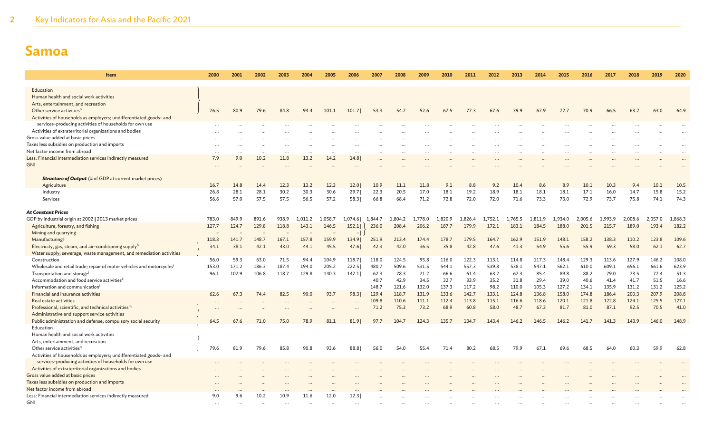| Item                                                                                                                          | 2000         | 2001         | 2002         | 2003         | 2004         | 2005         | 2006                     | 2007         | 2008                 | 2009         | 2010        | 2011        | 2012         | 2013         | 2014        | 2015         | 2016         | 2017         | 2018         | 2019         | 2020                 |
|-------------------------------------------------------------------------------------------------------------------------------|--------------|--------------|--------------|--------------|--------------|--------------|--------------------------|--------------|----------------------|--------------|-------------|-------------|--------------|--------------|-------------|--------------|--------------|--------------|--------------|--------------|----------------------|
| Education                                                                                                                     |              |              |              |              |              |              |                          |              |                      |              |             |             |              |              |             |              |              |              |              |              |                      |
| Human health and social work activities                                                                                       |              |              |              |              |              |              |                          |              |                      |              |             |             |              |              |             |              |              |              |              |              |                      |
| Arts, entertainment, and recreation                                                                                           |              |              |              |              |              |              |                          |              |                      |              |             |             |              |              |             |              |              |              |              |              |                      |
| Other service activities <sup>n</sup>                                                                                         | 76.5         | 80.9         | 79.6         | 84.8         | 94.4         | 101.1        | 101.7                    | 53.3         | 54.7                 | 52.6         | 67.5        | 77.3        | 67.6         | 79.9         | 67.9        | 72.7         | 70.9         | 66.5         | 63.2         | 63.0         | 64.9                 |
| Activities of households as employers; undifferentiated goods- and                                                            |              |              |              |              |              |              |                          |              |                      |              |             |             |              |              |             |              |              |              |              |              |                      |
| services-producing activities of households for own use                                                                       |              |              |              |              |              |              |                          |              |                      |              |             |             |              |              |             |              |              |              |              |              |                      |
| Activities of extraterritorial organizations and bodies                                                                       |              |              |              |              |              |              |                          |              |                      |              |             |             |              |              |             |              |              |              |              |              |                      |
| Gross value added at basic prices                                                                                             |              |              |              |              |              |              |                          |              |                      |              |             |             |              |              |             |              |              |              |              |              |                      |
| Taxes less subsidies on production and imports                                                                                |              |              |              |              |              |              |                          |              |                      |              |             |             |              |              |             |              |              |              |              |              |                      |
| Net factor income from abroad                                                                                                 |              |              | $\cdots$     |              | $\cdots$     | $\cdots$     | $\ddotsc$                |              | $\ddot{\phantom{a}}$ |              |             | $\cdots$    |              |              |             |              |              |              |              |              | $\ddot{\phantom{a}}$ |
| Less: Financial intermediation services indirectly measured                                                                   | 7.9          | 9.0          | 10.2         | 11.8         | 13.2         | 14.2         | 14.8                     | $\ddots$     |                      |              |             |             |              |              |             |              |              |              |              |              |                      |
| GNI                                                                                                                           |              |              |              |              |              |              |                          |              |                      |              |             |             |              |              |             |              |              |              |              |              |                      |
|                                                                                                                               |              |              |              |              |              |              |                          |              |                      |              |             |             |              |              |             |              |              |              |              |              |                      |
| <b>Structure of Output</b> (% of GDP at current market prices)                                                                |              |              |              |              |              |              |                          |              |                      |              |             |             |              |              |             |              |              |              |              |              |                      |
| Agriculture                                                                                                                   | 16.7         | 14.8         | 14.4<br>28.1 | 12.3<br>30.2 | 13.2         | 12.3<br>30.6 | 12.0<br>29.7             | 10.9<br>22.3 | 11.1<br>20.5         | 11.8         | 9.1<br>18.1 | 8.8<br>19.2 | 9.2          | 10.4<br>18.1 | 8.6<br>18.1 | 8.9          | 10.1<br>17.1 | 10.3         | 9.4          | 10.1<br>15.8 | 10.5                 |
| Industry<br>Services                                                                                                          | 26.8<br>56.6 | 28.1<br>57.0 | 57.5         | 57.5         | 30.3<br>56.5 | 57.2         | 58.3                     | 66.8         | 68.4                 | 17.0<br>71.2 | 72.8        | 72.0        | 18.9<br>72.0 | 71.6         | 73.3        | 18.1<br>73.0 | 72.9         | 16.0<br>73.7 | 14.7<br>75.8 | 74.1         | 15.2<br>74.3         |
|                                                                                                                               |              |              |              |              |              |              |                          |              |                      |              |             |             |              |              |             |              |              |              |              |              |                      |
| <b>At Constant Prices</b>                                                                                                     |              |              |              |              |              |              |                          |              |                      |              |             |             |              |              |             |              |              |              |              |              |                      |
| GDP by industrial origin at 2002   2013 market prices                                                                         | 783.0        | 849.9        | 891.6        | 938.9        | 1,011.2      | 1,058.7      | 1,074.6                  | 1,844.7      | 1,804.2              | 1,778.0      | 1,820.9     | 1,826.4     | 1,752.1      | 1,765.5      | 1,811.9     | 1,934.0      | 2,005.6      | 1,993.9      | 2,008.6      | 2,057.0      | 1,868.3              |
| Agriculture, forestry, and fishing                                                                                            | 127.7        | 124.7        | 129.8        | 118.8        | 143.1        | 146.5        | 152.1                    | 236.0        | 208.4                | 206.2        | 187.7       | 179.9       | 172.1        | 183.1        | 184.5       | 188.0        | 201.5        | 215.7        | 189.0        | 193.4        | 182.2                |
| Mining and quarrying                                                                                                          |              |              |              |              |              |              | $\overline{\phantom{a}}$ |              |                      |              |             |             |              |              |             |              |              |              |              |              |                      |
| Manufacturing <sup>g</sup>                                                                                                    | 118.3        | 141.7        | 148.7        | 167.1        | 157.8        | 159.9        | 134.9                    | 251.9        | 213.4                | 174.4        | 178.7       | 179.5       | 164.7        | 162.9        | 151.9       | 148.1        | 158.2        | 138.3        | 110.2        | 123.8        | 109.6                |
| Electricity, gas, steam, and air-conditioning supplyh                                                                         | 34.1         | 38.1         | 42.1         | 43.0         | 44.1         | 45.5         | 47.6                     | 42.3         | 42.0                 | 36.5         | 35.8        | 42.8        | 47.6         | 41.3         | 54.9        | 55.6         | 55.9         | 59.3         | 58.0         | 62.1         | 62.7                 |
| Water supply; sewerage, waste management, and remediation activities                                                          |              |              |              |              |              |              |                          |              |                      |              |             |             |              |              |             |              |              |              |              |              |                      |
| Construction                                                                                                                  | 56.0         | 59.3         | 63.0         | 71.5         | 94.4         | 104.9        | 118.7                    | 118.0        | 124.5                | 95.8         | 116.0       | 122.3       | 113.1        | 114.8        | 117.3       | 148.4        | 129.3        | 113.6        | 127.9        | 146.2        | 108.0                |
| Wholesale and retail trade; repair of motor vehicles and motorcycles <sup>i</sup>                                             | 153.0        | 171.2        | 186.3        | 187.4        | 194.0        | 205.2        | 222.5                    | 480.7        | 509.6                | 531.5        | 544.1       | 557.3       | 539.8        | 538.1        | 547.1       | 562.1        | 610.0        | 609.1        | 656.1        | 661.6        | 623.9                |
| Transportation and storage                                                                                                    | 96.1         | 107.9        | 106.8        | 118.7        | 129.8        | 140.3        | 142.1                    | 62.3         | 78.3                 | 71.2         | 66.6        | 61.4        | 63.2         | 67.3         | 85.4        | 89.8         | 88.2         | 79.0         | 73.5         | 77.4         | 51.3                 |
| Accommodation and food service activities <sup>k</sup>                                                                        |              |              |              |              |              |              |                          | 40.7         | 42.9                 | 34.5         | 32.7        | 33.9        | 35.2         | 31.8         | 29.4        | 39.0         | 40.6         | 41.4         | 41.7         | 51.5         | 16.6                 |
| Information and communication <sup>1</sup>                                                                                    |              |              |              |              |              |              |                          | 148.7        | 121.6                | 132.0        | 137.3       | 117.2       | 98.2         | 110.0        | 105.3       | 127.2        | 134.1        | 135.9        | 131.2        | 131.2        | 125.2                |
| Financial and insurance activities                                                                                            | 62.6         | 67.3         | 74.4         | 82.5         | 90.0         | 93.7         | 98.3                     | 129.4        | 118.7                | 131.9        | 133.6       | 142.7       | 133.1        | 124.8        | 136.8       | 158.0        | 174.8        | 186.4        | 200.3        | 207.9        | 208.8                |
| Real estate activities                                                                                                        | $\ddotsc$    |              |              |              |              |              | $\ddotsc$                | 109.8        | 110.6                | 111.1        | 112.4       | 113.8       | 115.1        | 116.6        | 118.6       | 120.1        | 121.8        | 122.8        | 124.1        | 125.5        | 127.1                |
| Professional, scientific, and technical activities <sup>m</sup>                                                               |              |              |              |              |              |              |                          | 71.2         | 75.3                 | 73.2         | 68.9        | 60.8        | 58.0         | 48.7         | 67.3        | 81.7         | 81.0         | 87.1         | 92.5         | 70.5         | 41.0                 |
| Administrative and support service activities                                                                                 |              |              |              |              |              |              |                          |              |                      |              |             |             |              |              |             |              |              |              |              |              |                      |
| Public administration and defense; compulsory social security                                                                 | 64.5         | 67.6         | 71.0         | 75.0         | 78.9         | 81.1         | 81.9                     | 97.7         | 104.7                | 124.3        | 135.7       | 134.7       | 143.4        | 146.2        | 146.5       | 146.2        | 141.7        | 141.3        | 143.9        | 146.0        | 148.9                |
| Education                                                                                                                     |              |              |              |              |              |              |                          |              |                      |              |             |             |              |              |             |              |              |              |              |              |                      |
| Human health and social work activities                                                                                       |              |              |              |              |              |              |                          |              |                      |              |             |             |              |              |             |              |              |              |              |              |                      |
| Arts, entertainment, and recreation<br>Other service activities <sup>n</sup>                                                  | 79.6         | 81.9         | 79.6         | 85.8         | 90.8         | 93.6         | 88.8                     | 56.0         | 54.0                 | 55.4         | 71.4        | 80.2        | 68.5         | 79.9         | 67.1        | 69.6         | 68.5         | 64.0         | 60.3         | 59.9         | 62.8                 |
|                                                                                                                               |              |              |              |              |              |              |                          |              |                      |              |             |             |              |              |             |              |              |              |              |              |                      |
| Activities of households as employers; undifferentiated goods- and<br>services-producing activities of households for own use |              |              |              |              |              |              |                          |              |                      |              |             |             |              |              |             |              |              |              |              |              |                      |
| Activities of extraterritorial organizations and bodies                                                                       |              |              |              |              |              |              |                          |              |                      |              |             |             |              |              |             |              |              |              |              |              |                      |
| Gross value added at basic prices                                                                                             |              |              |              |              |              |              |                          |              |                      |              |             |             |              |              |             |              |              |              |              |              |                      |
| Taxes less subsidies on production and imports                                                                                |              |              |              |              |              |              |                          |              |                      |              |             |             |              |              |             |              |              |              |              |              |                      |
| Net factor income from abroad                                                                                                 |              |              |              |              |              |              |                          |              |                      |              |             |             |              |              |             |              |              |              |              |              |                      |
| Less: Financial intermediation services indirectly measured                                                                   | 9.0          | 9.6          | 10.2         | 10.9         | 11.6         | 12.0         | 12.3                     |              |                      |              |             |             |              |              |             |              |              |              |              |              |                      |
| GNI                                                                                                                           |              |              |              |              |              |              |                          |              |                      |              |             |             |              |              |             |              |              |              |              |              |                      |
|                                                                                                                               |              |              |              |              |              |              |                          |              |                      |              |             |             |              |              |             |              |              |              |              |              |                      |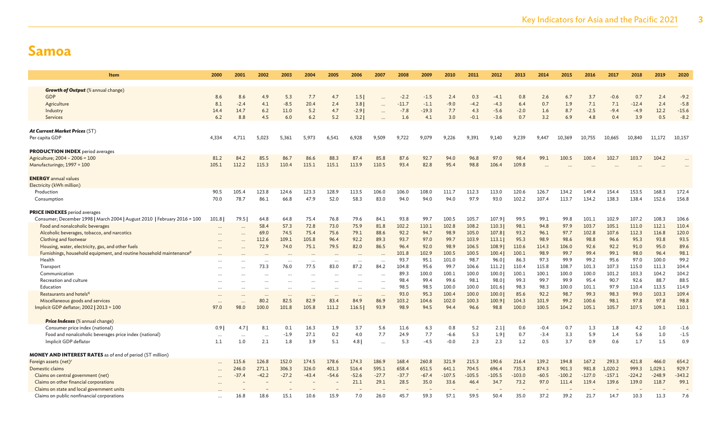| 2000      | 2001                                                                   | 2002                                                                     | 2003                                                                                                                     | 2004                                                                                                                     | 2005                                                                                                                        | 2006                                                                                                                    | 2007                                                                                                                         | 2008                                                                                        | 2009                                                                                                                                                                                  | 2010                                                                                                                                                                            | 2011                                                                                                                                                                                | 2012                                                                                                                                                                                  | 2013                                                                                                                                                                       | 2014                                                                                                                                                                            | 2015                                                                                                                                                              | 2016                                                                                                                                                         | 2017                                                                                                                                                              | 2018                                                                                                                                                              | 2019                                                                                                                                                                 | 2020                                                                                                                                                             |
|-----------|------------------------------------------------------------------------|--------------------------------------------------------------------------|--------------------------------------------------------------------------------------------------------------------------|--------------------------------------------------------------------------------------------------------------------------|-----------------------------------------------------------------------------------------------------------------------------|-------------------------------------------------------------------------------------------------------------------------|------------------------------------------------------------------------------------------------------------------------------|---------------------------------------------------------------------------------------------|---------------------------------------------------------------------------------------------------------------------------------------------------------------------------------------|---------------------------------------------------------------------------------------------------------------------------------------------------------------------------------|-------------------------------------------------------------------------------------------------------------------------------------------------------------------------------------|---------------------------------------------------------------------------------------------------------------------------------------------------------------------------------------|----------------------------------------------------------------------------------------------------------------------------------------------------------------------------|---------------------------------------------------------------------------------------------------------------------------------------------------------------------------------|-------------------------------------------------------------------------------------------------------------------------------------------------------------------|--------------------------------------------------------------------------------------------------------------------------------------------------------------|-------------------------------------------------------------------------------------------------------------------------------------------------------------------|-------------------------------------------------------------------------------------------------------------------------------------------------------------------|----------------------------------------------------------------------------------------------------------------------------------------------------------------------|------------------------------------------------------------------------------------------------------------------------------------------------------------------|
|           |                                                                        |                                                                          |                                                                                                                          |                                                                                                                          |                                                                                                                             |                                                                                                                         |                                                                                                                              |                                                                                             |                                                                                                                                                                                       |                                                                                                                                                                                 |                                                                                                                                                                                     |                                                                                                                                                                                       |                                                                                                                                                                            |                                                                                                                                                                                 |                                                                                                                                                                   |                                                                                                                                                              |                                                                                                                                                                   |                                                                                                                                                                   |                                                                                                                                                                      |                                                                                                                                                                  |
|           |                                                                        |                                                                          |                                                                                                                          |                                                                                                                          |                                                                                                                             |                                                                                                                         |                                                                                                                              |                                                                                             |                                                                                                                                                                                       |                                                                                                                                                                                 |                                                                                                                                                                                     |                                                                                                                                                                                       |                                                                                                                                                                            |                                                                                                                                                                                 |                                                                                                                                                                   |                                                                                                                                                              |                                                                                                                                                                   |                                                                                                                                                                   |                                                                                                                                                                      | $-9.2$                                                                                                                                                           |
|           |                                                                        |                                                                          |                                                                                                                          |                                                                                                                          |                                                                                                                             |                                                                                                                         |                                                                                                                              |                                                                                             |                                                                                                                                                                                       |                                                                                                                                                                                 |                                                                                                                                                                                     |                                                                                                                                                                                       |                                                                                                                                                                            |                                                                                                                                                                                 |                                                                                                                                                                   |                                                                                                                                                              |                                                                                                                                                                   |                                                                                                                                                                   |                                                                                                                                                                      | $-5.8$                                                                                                                                                           |
|           |                                                                        |                                                                          |                                                                                                                          |                                                                                                                          |                                                                                                                             |                                                                                                                         |                                                                                                                              |                                                                                             |                                                                                                                                                                                       |                                                                                                                                                                                 |                                                                                                                                                                                     |                                                                                                                                                                                       |                                                                                                                                                                            |                                                                                                                                                                                 |                                                                                                                                                                   |                                                                                                                                                              |                                                                                                                                                                   |                                                                                                                                                                   |                                                                                                                                                                      | $-15.6$                                                                                                                                                          |
| 6.2       | 8.8                                                                    | 4.5                                                                      | 6.0                                                                                                                      |                                                                                                                          |                                                                                                                             |                                                                                                                         | $\ddotsc$                                                                                                                    |                                                                                             | 4.1                                                                                                                                                                                   |                                                                                                                                                                                 |                                                                                                                                                                                     | $-3.6$                                                                                                                                                                                |                                                                                                                                                                            | 3.2                                                                                                                                                                             | 6.9                                                                                                                                                               | 4.8                                                                                                                                                          |                                                                                                                                                                   | 3.9                                                                                                                                                               | 0.5                                                                                                                                                                  | $-8.2$                                                                                                                                                           |
|           |                                                                        |                                                                          |                                                                                                                          |                                                                                                                          |                                                                                                                             |                                                                                                                         |                                                                                                                              |                                                                                             |                                                                                                                                                                                       |                                                                                                                                                                                 |                                                                                                                                                                                     |                                                                                                                                                                                       |                                                                                                                                                                            |                                                                                                                                                                                 |                                                                                                                                                                   |                                                                                                                                                              |                                                                                                                                                                   |                                                                                                                                                                   |                                                                                                                                                                      |                                                                                                                                                                  |
|           |                                                                        |                                                                          |                                                                                                                          |                                                                                                                          |                                                                                                                             |                                                                                                                         |                                                                                                                              |                                                                                             |                                                                                                                                                                                       |                                                                                                                                                                                 |                                                                                                                                                                                     |                                                                                                                                                                                       |                                                                                                                                                                            |                                                                                                                                                                                 |                                                                                                                                                                   |                                                                                                                                                              |                                                                                                                                                                   |                                                                                                                                                                   |                                                                                                                                                                      |                                                                                                                                                                  |
| 4.334     | 4,711                                                                  | 5,023                                                                    | 5,361                                                                                                                    | 5,973                                                                                                                    | 6,541                                                                                                                       | 6,928                                                                                                                   | 9,509                                                                                                                        | 9,722                                                                                       | 9,079                                                                                                                                                                                 | 9,226                                                                                                                                                                           | 9,391                                                                                                                                                                               | 9,140                                                                                                                                                                                 | 9,239                                                                                                                                                                      | 9,447                                                                                                                                                                           | 10,369                                                                                                                                                            | 10,755                                                                                                                                                       | 10,665                                                                                                                                                            | 10,840                                                                                                                                                            | 11,172                                                                                                                                                               | 10,157                                                                                                                                                           |
|           |                                                                        |                                                                          |                                                                                                                          |                                                                                                                          |                                                                                                                             |                                                                                                                         |                                                                                                                              |                                                                                             |                                                                                                                                                                                       |                                                                                                                                                                                 |                                                                                                                                                                                     |                                                                                                                                                                                       |                                                                                                                                                                            |                                                                                                                                                                                 |                                                                                                                                                                   |                                                                                                                                                              |                                                                                                                                                                   |                                                                                                                                                                   |                                                                                                                                                                      |                                                                                                                                                                  |
|           |                                                                        |                                                                          |                                                                                                                          |                                                                                                                          |                                                                                                                             |                                                                                                                         |                                                                                                                              |                                                                                             |                                                                                                                                                                                       |                                                                                                                                                                                 |                                                                                                                                                                                     |                                                                                                                                                                                       |                                                                                                                                                                            |                                                                                                                                                                                 |                                                                                                                                                                   |                                                                                                                                                              |                                                                                                                                                                   |                                                                                                                                                                   |                                                                                                                                                                      |                                                                                                                                                                  |
|           |                                                                        |                                                                          |                                                                                                                          |                                                                                                                          |                                                                                                                             |                                                                                                                         |                                                                                                                              |                                                                                             |                                                                                                                                                                                       |                                                                                                                                                                                 |                                                                                                                                                                                     |                                                                                                                                                                                       |                                                                                                                                                                            |                                                                                                                                                                                 |                                                                                                                                                                   |                                                                                                                                                              |                                                                                                                                                                   |                                                                                                                                                                   |                                                                                                                                                                      |                                                                                                                                                                  |
|           |                                                                        |                                                                          |                                                                                                                          |                                                                                                                          |                                                                                                                             |                                                                                                                         |                                                                                                                              |                                                                                             |                                                                                                                                                                                       |                                                                                                                                                                                 |                                                                                                                                                                                     |                                                                                                                                                                                       |                                                                                                                                                                            |                                                                                                                                                                                 |                                                                                                                                                                   |                                                                                                                                                              |                                                                                                                                                                   |                                                                                                                                                                   |                                                                                                                                                                      |                                                                                                                                                                  |
|           |                                                                        |                                                                          |                                                                                                                          |                                                                                                                          |                                                                                                                             |                                                                                                                         |                                                                                                                              |                                                                                             |                                                                                                                                                                                       |                                                                                                                                                                                 |                                                                                                                                                                                     |                                                                                                                                                                                       |                                                                                                                                                                            |                                                                                                                                                                                 |                                                                                                                                                                   |                                                                                                                                                              |                                                                                                                                                                   |                                                                                                                                                                   |                                                                                                                                                                      |                                                                                                                                                                  |
|           |                                                                        |                                                                          |                                                                                                                          |                                                                                                                          |                                                                                                                             |                                                                                                                         |                                                                                                                              |                                                                                             |                                                                                                                                                                                       |                                                                                                                                                                                 |                                                                                                                                                                                     |                                                                                                                                                                                       |                                                                                                                                                                            |                                                                                                                                                                                 |                                                                                                                                                                   |                                                                                                                                                              |                                                                                                                                                                   |                                                                                                                                                                   |                                                                                                                                                                      |                                                                                                                                                                  |
| 90.5      | 105.4                                                                  | 123.8                                                                    | 124.6                                                                                                                    | 123.3                                                                                                                    | 128.9                                                                                                                       | 113.5                                                                                                                   | 106.0                                                                                                                        | 106.0                                                                                       | 108.0                                                                                                                                                                                 | 111.7                                                                                                                                                                           | 112.3                                                                                                                                                                               | 113.0                                                                                                                                                                                 | 120.6                                                                                                                                                                      | 126.7                                                                                                                                                                           | 134.2                                                                                                                                                             | 149.4                                                                                                                                                        | 154.4                                                                                                                                                             | 153.5                                                                                                                                                             | 168.3                                                                                                                                                                | 172.4                                                                                                                                                            |
| 70.0      | 78.7                                                                   | 86.1                                                                     | 66.8                                                                                                                     | 47.9                                                                                                                     | 52.0                                                                                                                        | 58.3                                                                                                                    | 83.0                                                                                                                         | 94.0                                                                                        | 94.0                                                                                                                                                                                  | 94.0                                                                                                                                                                            | 97.9                                                                                                                                                                                | 93.0                                                                                                                                                                                  | 102.2                                                                                                                                                                      | 107.4                                                                                                                                                                           | 113.7                                                                                                                                                             | 134.2                                                                                                                                                        | 138.3                                                                                                                                                             | 138.4                                                                                                                                                             | 152.6                                                                                                                                                                | 156.8                                                                                                                                                            |
|           |                                                                        |                                                                          |                                                                                                                          |                                                                                                                          |                                                                                                                             |                                                                                                                         |                                                                                                                              |                                                                                             |                                                                                                                                                                                       |                                                                                                                                                                                 |                                                                                                                                                                                     |                                                                                                                                                                                       |                                                                                                                                                                            |                                                                                                                                                                                 |                                                                                                                                                                   |                                                                                                                                                              |                                                                                                                                                                   |                                                                                                                                                                   |                                                                                                                                                                      |                                                                                                                                                                  |
|           |                                                                        |                                                                          |                                                                                                                          |                                                                                                                          |                                                                                                                             |                                                                                                                         |                                                                                                                              |                                                                                             |                                                                                                                                                                                       |                                                                                                                                                                                 |                                                                                                                                                                                     |                                                                                                                                                                                       |                                                                                                                                                                            |                                                                                                                                                                                 |                                                                                                                                                                   |                                                                                                                                                              |                                                                                                                                                                   |                                                                                                                                                                   |                                                                                                                                                                      |                                                                                                                                                                  |
| 101.8     | 79.5                                                                   | 64.8                                                                     | 64.8                                                                                                                     | 75.4                                                                                                                     | 76.8                                                                                                                        | 79.6                                                                                                                    | 84.1                                                                                                                         | 93.8                                                                                        | 99.7                                                                                                                                                                                  | 100.5                                                                                                                                                                           | 105.7                                                                                                                                                                               | 107.9                                                                                                                                                                                 | 99.5                                                                                                                                                                       | 99.1                                                                                                                                                                            | 99.8                                                                                                                                                              | 101.1                                                                                                                                                        | 102.9                                                                                                                                                             | 107.2                                                                                                                                                             | 108.3                                                                                                                                                                | 106.6                                                                                                                                                            |
|           | $\ddotsc$                                                              |                                                                          |                                                                                                                          |                                                                                                                          |                                                                                                                             |                                                                                                                         |                                                                                                                              |                                                                                             |                                                                                                                                                                                       |                                                                                                                                                                                 |                                                                                                                                                                                     |                                                                                                                                                                                       |                                                                                                                                                                            |                                                                                                                                                                                 |                                                                                                                                                                   |                                                                                                                                                              |                                                                                                                                                                   |                                                                                                                                                                   |                                                                                                                                                                      | 110.4                                                                                                                                                            |
|           |                                                                        |                                                                          |                                                                                                                          |                                                                                                                          |                                                                                                                             |                                                                                                                         |                                                                                                                              |                                                                                             |                                                                                                                                                                                       |                                                                                                                                                                                 |                                                                                                                                                                                     |                                                                                                                                                                                       |                                                                                                                                                                            |                                                                                                                                                                                 |                                                                                                                                                                   |                                                                                                                                                              |                                                                                                                                                                   |                                                                                                                                                                   |                                                                                                                                                                      | 120.0                                                                                                                                                            |
|           |                                                                        |                                                                          |                                                                                                                          |                                                                                                                          |                                                                                                                             |                                                                                                                         |                                                                                                                              |                                                                                             |                                                                                                                                                                                       |                                                                                                                                                                                 |                                                                                                                                                                                     | 113.1                                                                                                                                                                                 |                                                                                                                                                                            |                                                                                                                                                                                 |                                                                                                                                                                   |                                                                                                                                                              | 96.6                                                                                                                                                              |                                                                                                                                                                   |                                                                                                                                                                      | 93.5                                                                                                                                                             |
|           |                                                                        |                                                                          |                                                                                                                          |                                                                                                                          |                                                                                                                             |                                                                                                                         |                                                                                                                              |                                                                                             |                                                                                                                                                                                       |                                                                                                                                                                                 |                                                                                                                                                                                     |                                                                                                                                                                                       |                                                                                                                                                                            |                                                                                                                                                                                 |                                                                                                                                                                   |                                                                                                                                                              |                                                                                                                                                                   |                                                                                                                                                                   |                                                                                                                                                                      | 89.6                                                                                                                                                             |
|           |                                                                        |                                                                          |                                                                                                                          |                                                                                                                          |                                                                                                                             |                                                                                                                         |                                                                                                                              |                                                                                             |                                                                                                                                                                                       |                                                                                                                                                                                 |                                                                                                                                                                                     |                                                                                                                                                                                       |                                                                                                                                                                            |                                                                                                                                                                                 |                                                                                                                                                                   |                                                                                                                                                              |                                                                                                                                                                   |                                                                                                                                                                   |                                                                                                                                                                      | 98.1                                                                                                                                                             |
|           |                                                                        |                                                                          | $\ddotsc$                                                                                                                | $\cdots$                                                                                                                 | $\ddotsc$                                                                                                                   | $\cdots$                                                                                                                | $\ddot{\phantom{a}}$                                                                                                         |                                                                                             |                                                                                                                                                                                       |                                                                                                                                                                                 |                                                                                                                                                                                     |                                                                                                                                                                                       |                                                                                                                                                                            |                                                                                                                                                                                 |                                                                                                                                                                   |                                                                                                                                                              |                                                                                                                                                                   |                                                                                                                                                                   |                                                                                                                                                                      | 99.2                                                                                                                                                             |
|           |                                                                        |                                                                          |                                                                                                                          |                                                                                                                          |                                                                                                                             |                                                                                                                         |                                                                                                                              |                                                                                             |                                                                                                                                                                                       |                                                                                                                                                                                 |                                                                                                                                                                                     |                                                                                                                                                                                       |                                                                                                                                                                            |                                                                                                                                                                                 |                                                                                                                                                                   |                                                                                                                                                              |                                                                                                                                                                   |                                                                                                                                                                   |                                                                                                                                                                      | 104.4                                                                                                                                                            |
|           |                                                                        |                                                                          |                                                                                                                          |                                                                                                                          |                                                                                                                             |                                                                                                                         |                                                                                                                              |                                                                                             |                                                                                                                                                                                       |                                                                                                                                                                                 |                                                                                                                                                                                     |                                                                                                                                                                                       |                                                                                                                                                                            |                                                                                                                                                                                 |                                                                                                                                                                   |                                                                                                                                                              |                                                                                                                                                                   |                                                                                                                                                                   |                                                                                                                                                                      | 104.2                                                                                                                                                            |
|           |                                                                        |                                                                          |                                                                                                                          |                                                                                                                          |                                                                                                                             |                                                                                                                         |                                                                                                                              |                                                                                             |                                                                                                                                                                                       |                                                                                                                                                                                 |                                                                                                                                                                                     |                                                                                                                                                                                       |                                                                                                                                                                            |                                                                                                                                                                                 |                                                                                                                                                                   |                                                                                                                                                              |                                                                                                                                                                   |                                                                                                                                                                   |                                                                                                                                                                      | 88.5                                                                                                                                                             |
|           |                                                                        |                                                                          | $\cdots$                                                                                                                 | $\cdots$                                                                                                                 |                                                                                                                             |                                                                                                                         |                                                                                                                              |                                                                                             |                                                                                                                                                                                       |                                                                                                                                                                                 |                                                                                                                                                                                     |                                                                                                                                                                                       |                                                                                                                                                                            |                                                                                                                                                                                 |                                                                                                                                                                   |                                                                                                                                                              |                                                                                                                                                                   |                                                                                                                                                                   |                                                                                                                                                                      | 114.9                                                                                                                                                            |
| $\ddotsc$ | $\ddotsc$                                                              | $\ddotsc$                                                                | $\cdots$                                                                                                                 | $\cdots$                                                                                                                 | $\ddots$                                                                                                                    | $\cdots$                                                                                                                | $\ddotsc$                                                                                                                    |                                                                                             |                                                                                                                                                                                       |                                                                                                                                                                                 |                                                                                                                                                                                     |                                                                                                                                                                                       |                                                                                                                                                                            |                                                                                                                                                                                 |                                                                                                                                                                   |                                                                                                                                                              |                                                                                                                                                                   |                                                                                                                                                                   |                                                                                                                                                                      | 109.4                                                                                                                                                            |
| $\cdots$  | $\ddotsc$                                                              |                                                                          |                                                                                                                          |                                                                                                                          |                                                                                                                             |                                                                                                                         |                                                                                                                              |                                                                                             |                                                                                                                                                                                       |                                                                                                                                                                                 |                                                                                                                                                                                     |                                                                                                                                                                                       |                                                                                                                                                                            |                                                                                                                                                                                 |                                                                                                                                                                   |                                                                                                                                                              |                                                                                                                                                                   |                                                                                                                                                                   |                                                                                                                                                                      | 98.8                                                                                                                                                             |
|           |                                                                        |                                                                          |                                                                                                                          |                                                                                                                          |                                                                                                                             |                                                                                                                         |                                                                                                                              |                                                                                             |                                                                                                                                                                                       |                                                                                                                                                                                 |                                                                                                                                                                                     |                                                                                                                                                                                       |                                                                                                                                                                            |                                                                                                                                                                                 |                                                                                                                                                                   |                                                                                                                                                              |                                                                                                                                                                   |                                                                                                                                                                   |                                                                                                                                                                      | 110.1                                                                                                                                                            |
|           |                                                                        |                                                                          |                                                                                                                          |                                                                                                                          |                                                                                                                             |                                                                                                                         |                                                                                                                              |                                                                                             |                                                                                                                                                                                       |                                                                                                                                                                                 |                                                                                                                                                                                     |                                                                                                                                                                                       |                                                                                                                                                                            |                                                                                                                                                                                 |                                                                                                                                                                   |                                                                                                                                                              |                                                                                                                                                                   |                                                                                                                                                                   |                                                                                                                                                                      |                                                                                                                                                                  |
|           |                                                                        |                                                                          |                                                                                                                          |                                                                                                                          |                                                                                                                             |                                                                                                                         |                                                                                                                              |                                                                                             |                                                                                                                                                                                       |                                                                                                                                                                                 |                                                                                                                                                                                     |                                                                                                                                                                                       |                                                                                                                                                                            |                                                                                                                                                                                 |                                                                                                                                                                   |                                                                                                                                                              |                                                                                                                                                                   |                                                                                                                                                                   |                                                                                                                                                                      | $-1.6$                                                                                                                                                           |
|           |                                                                        |                                                                          |                                                                                                                          |                                                                                                                          |                                                                                                                             |                                                                                                                         |                                                                                                                              |                                                                                             |                                                                                                                                                                                       |                                                                                                                                                                                 |                                                                                                                                                                                     |                                                                                                                                                                                       |                                                                                                                                                                            |                                                                                                                                                                                 |                                                                                                                                                                   |                                                                                                                                                              |                                                                                                                                                                   |                                                                                                                                                                   |                                                                                                                                                                      | $-1.5$                                                                                                                                                           |
|           |                                                                        |                                                                          |                                                                                                                          |                                                                                                                          |                                                                                                                             |                                                                                                                         |                                                                                                                              |                                                                                             |                                                                                                                                                                                       |                                                                                                                                                                                 |                                                                                                                                                                                     |                                                                                                                                                                                       |                                                                                                                                                                            |                                                                                                                                                                                 |                                                                                                                                                                   |                                                                                                                                                              |                                                                                                                                                                   |                                                                                                                                                                   |                                                                                                                                                                      | 0.9                                                                                                                                                              |
|           |                                                                        |                                                                          |                                                                                                                          |                                                                                                                          |                                                                                                                             |                                                                                                                         |                                                                                                                              |                                                                                             |                                                                                                                                                                                       |                                                                                                                                                                                 |                                                                                                                                                                                     |                                                                                                                                                                                       |                                                                                                                                                                            |                                                                                                                                                                                 |                                                                                                                                                                   |                                                                                                                                                              |                                                                                                                                                                   |                                                                                                                                                                   |                                                                                                                                                                      |                                                                                                                                                                  |
|           |                                                                        |                                                                          |                                                                                                                          |                                                                                                                          |                                                                                                                             |                                                                                                                         |                                                                                                                              |                                                                                             |                                                                                                                                                                                       |                                                                                                                                                                                 |                                                                                                                                                                                     |                                                                                                                                                                                       |                                                                                                                                                                            |                                                                                                                                                                                 |                                                                                                                                                                   |                                                                                                                                                              |                                                                                                                                                                   |                                                                                                                                                                   |                                                                                                                                                                      |                                                                                                                                                                  |
|           | 115.6                                                                  | 126.8                                                                    | 152.0                                                                                                                    | 174.5                                                                                                                    | 178.6                                                                                                                       | 174.3                                                                                                                   | 186.9                                                                                                                        | 168.4                                                                                       | 260.8                                                                                                                                                                                 | 321.9                                                                                                                                                                           | 215.3                                                                                                                                                                               | 190.6                                                                                                                                                                                 | 216.4                                                                                                                                                                      | 139.2                                                                                                                                                                           | 194.8                                                                                                                                                             | 167.2                                                                                                                                                        | 293.3                                                                                                                                                             | 421.8                                                                                                                                                             | 466.0                                                                                                                                                                | 654.2                                                                                                                                                            |
| $\ddotsc$ | 246.0                                                                  | 271.1                                                                    | 306.3                                                                                                                    | 326.0                                                                                                                    | 401.3                                                                                                                       | 516.4                                                                                                                   | 595.1                                                                                                                        | 658.4                                                                                       | 651.5                                                                                                                                                                                 | 641.1                                                                                                                                                                           | 704.5                                                                                                                                                                               | 696.4                                                                                                                                                                                 | 735.3                                                                                                                                                                      | 874.3                                                                                                                                                                           | 901.3                                                                                                                                                             | 981.8                                                                                                                                                        | 1,020.2                                                                                                                                                           | 999.3                                                                                                                                                             | 1,029.1                                                                                                                                                              | 929.7                                                                                                                                                            |
|           | $-37.4$                                                                | $-42.2$                                                                  | $-27.2$                                                                                                                  | $-43.4$                                                                                                                  | $-54.6$                                                                                                                     | $-52.6$                                                                                                                 | $-27.7$                                                                                                                      | $-37.7$                                                                                     | $-67.4$                                                                                                                                                                               | $-107.5$                                                                                                                                                                        | $-105.5$                                                                                                                                                                            | $-105.5$                                                                                                                                                                              | $-103.0$                                                                                                                                                                   | $-60.5$                                                                                                                                                                         | $-100.2$                                                                                                                                                          | $-127.0$                                                                                                                                                     | $-157.1$                                                                                                                                                          | $-224.2$                                                                                                                                                          | $-248.9$                                                                                                                                                             | $-343.2$                                                                                                                                                         |
|           |                                                                        |                                                                          |                                                                                                                          |                                                                                                                          |                                                                                                                             | 21.1                                                                                                                    | 29.1                                                                                                                         | 28.5                                                                                        | 35.0                                                                                                                                                                                  | 33.6                                                                                                                                                                            | 46.4                                                                                                                                                                                | 34.7                                                                                                                                                                                  | 73.2                                                                                                                                                                       | 97.0                                                                                                                                                                            | 111.4                                                                                                                                                             | 119.4                                                                                                                                                        | 139.6                                                                                                                                                             | 139.0                                                                                                                                                             | 118.7                                                                                                                                                                | 99.1                                                                                                                                                             |
|           |                                                                        |                                                                          |                                                                                                                          |                                                                                                                          |                                                                                                                             |                                                                                                                         |                                                                                                                              |                                                                                             |                                                                                                                                                                                       |                                                                                                                                                                                 |                                                                                                                                                                                     |                                                                                                                                                                                       |                                                                                                                                                                            |                                                                                                                                                                                 |                                                                                                                                                                   |                                                                                                                                                              |                                                                                                                                                                   |                                                                                                                                                                   |                                                                                                                                                                      |                                                                                                                                                                  |
| $\cdots$  | 16.8                                                                   | 18.6                                                                     | 15.1                                                                                                                     | 10.6                                                                                                                     | 15.9                                                                                                                        | 7.0                                                                                                                     | 26.0                                                                                                                         | 45.7                                                                                        | 59.3                                                                                                                                                                                  | 57.1                                                                                                                                                                            | 59.5                                                                                                                                                                                | 50.4                                                                                                                                                                                  | 35.0                                                                                                                                                                       | 37.2                                                                                                                                                                            | 39.2                                                                                                                                                              | 21.7                                                                                                                                                         | 14.7                                                                                                                                                              | 10.3                                                                                                                                                              | 11.3                                                                                                                                                                 | 7.6                                                                                                                                                              |
|           | 8.6<br>8.1<br>14.4<br>81.2<br>105.1<br>97.0<br>0.91<br>$\cdots$<br>1.1 | 8.6<br>$-2.4$<br>14.7<br>84.2<br>112.2<br>98.0<br>4.7<br>$\cdots$<br>1.0 | 4.9<br>4.1<br>$6.2$<br>85.5<br>115.3<br>58.4<br>69.0<br>112.6<br>72.9<br>73.3<br>80.2<br>100.0<br>8.1<br>$\cdots$<br>2.1 | 5.3<br>$-8.5$<br>11.0<br>86.7<br>110.4<br>57.3<br>74.5<br>109.1<br>74.0<br>76.0<br>82.5<br>101.8<br>0.1<br>$-1.9$<br>1.8 | 7.7<br>20.4<br>5.2<br>6.2<br>86.6<br>115.1<br>72.8<br>75.4<br>105.8<br>75.1<br>77.5<br>82.9<br>105.8<br>16.3<br>27.1<br>3.9 | 4.7<br>2.4<br>4.7<br>5.2<br>88.3<br>115.1<br>73.0<br>75.6<br>96.4<br>79.5<br>83.0<br>83.4<br>111.2<br>1.9<br>0.2<br>5.1 | 1.5<br>3.81<br>$-2.9$<br>3.21<br>87.4<br>113.9<br>75.9<br>79.1<br>92.2<br>82.0<br>87.2<br>84.9<br>116.5<br>3.7<br>4.0<br>4.8 | <br><br>85.8<br>110.5<br>81.8<br>88.6<br>89.3<br>86.5<br>84.2<br>86.9<br>93.9<br>5.6<br>7.7 | $-2.2$<br>$-11.7$<br>$-7.8$<br>1.6<br>87.6<br>93.4<br>102.2<br>92.2<br>93.7<br>96.4<br>101.8<br>93.7<br>104.8<br>89.3<br>98.4<br>98.5<br>93.0<br>103.2<br>98.9<br>11.6<br>24.9<br>5.3 | $-1.5$<br>$-1.1$<br>$-19.3$<br>92.7<br>82.8<br>110.1<br>94.7<br>97.0<br>92.0<br>102.9<br>95.1<br>95.6<br>100.0<br>99.4<br>98.5<br>95.3<br>104.6<br>94.5<br>6.3<br>7.7<br>$-4.5$ | 2.4<br>$-9.0$<br>7.7<br>3.0<br>94.0<br>95.4<br>102.8<br>98.9<br>99.7<br>98.9<br>100.5<br>101.0<br>99.7<br>100.1<br>99.6<br>100.0<br>100.4<br>102.0<br>94.4<br>0.8<br>-6.6<br>$-0.0$ | 0.3<br>$-4.2$<br>4.3<br>$-0.1$<br>96.8<br>98.8<br>108.2<br>105.0<br>103.9<br>106.5<br>100.5<br>98.7<br>106.6<br>100.0<br>98.1<br>100.0<br>100.0<br>100.3<br>96.6<br>5.2<br>5.3<br>2.3 | $-4.1$<br>$-4.3$<br>$-5.6$<br>97.0<br>106.4<br>110.3<br>107.8<br>108.9<br>100.4<br>96.0<br>111.2<br>100.0<br>98.0<br>101.6<br>100.0<br>100.9<br>98.8<br>2.1<br>1.91<br>2.3 | 0.8<br>6.4<br>$-2.0$<br>0.7<br>98.4<br>109.8<br>98.1<br>93.2<br>95.3<br>110.6<br>100.1<br>86.3<br>110.4<br>100.1<br>99.3<br>98.3<br>85.6<br>104.3<br>100.0<br>0.6<br>0.7<br>1.2 | 2.6<br>0.7<br>1.6<br>99.1<br>94.8<br>96.1<br>98.9<br>114.3<br>98.9<br>97.3<br>115.8<br>100.1<br>99.7<br>98.3<br>92.2<br>101.9<br>100.5<br>$-0.4$<br>$-3.4$<br>0.5 | 6.7<br>1.9<br>8.7<br>100.5<br>97.9<br>97.7<br>98.6<br>106.0<br>99.7<br>99.9<br>108.7<br>100.0<br>99.9<br>100.0<br>98.7<br>99.2<br>104.2<br>0.7<br>3.3<br>3.7 | 3.7<br>7.1<br>$-2.5$<br>100.4<br>103.7<br>102.8<br>98.8<br>92.6<br>99.4<br>99.2<br>101.3<br>100.0<br>95.4<br>101.1<br>99.3<br>100.6<br>105.1<br>1.3<br>5.9<br>0.9 | $-0.6$<br>7.1<br>$-9.4$<br>0.4<br>102.7<br>105.1<br>107.6<br>92.2<br>99.1<br>95.6<br>107.3<br>101.2<br>90.7<br>97.9<br>98.3<br>98.1<br>105.7<br>1.8<br>1.4<br>0.6 | 0.7<br>$-12.4$<br>$-4.9$<br>103.7<br>111.0<br>112.3<br>95.3<br>91.0<br>98.0<br>97.0<br>115.0<br>103.3<br>92.6<br>110.4<br>99.0<br>97.8<br>107.5<br>4.2<br>5.6<br>1.7 | 2.4<br>2.4<br>12.2<br>104.2<br>112.1<br>116.8<br>93.8<br>95.0<br>96.4<br>100.0<br>111.3<br>104.2<br>88.7<br>113.5<br>103.3<br>97.8<br>109.1<br>1.0<br>1.0<br>1.5 |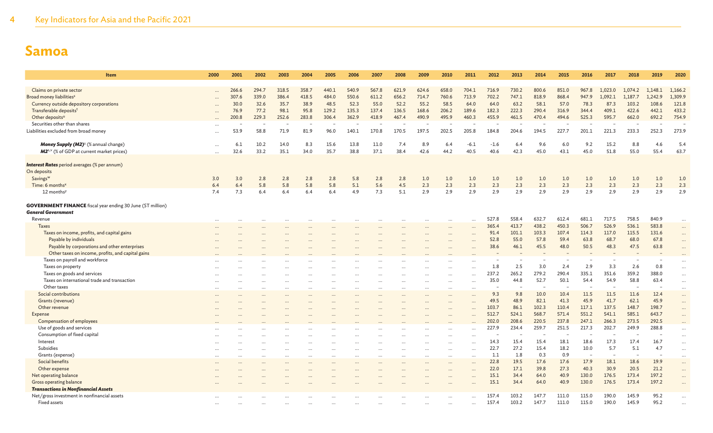| Item                                                              | 2000      | 2001                     | 2002  | 2003  | 2004      | 2005     | 2006  | 2007  | 2008                     | 2009      | 2010                     | 2011                     | 2012                     | 2013  | 2014   | 2015  | 2016                     | 2017    | 2018    | 2019    | 2020     |
|-------------------------------------------------------------------|-----------|--------------------------|-------|-------|-----------|----------|-------|-------|--------------------------|-----------|--------------------------|--------------------------|--------------------------|-------|--------|-------|--------------------------|---------|---------|---------|----------|
|                                                                   |           |                          |       |       |           |          |       |       |                          |           |                          |                          |                          |       |        |       |                          |         |         |         |          |
| Claims on private sector                                          | $\ddotsc$ | 266.6                    | 294.7 | 318.5 | 358.7     | 440.1    | 540.9 | 567.8 | 621.9                    | 624.6     | 658.0                    | 704.1                    | 716.9                    | 730.2 | 800.6  | 851.0 | 967.8                    | 1.023.0 | 1.074.2 | 1.148.1 | 1,166.2  |
| Broad money liabilities <sup>s</sup>                              |           | 307.6                    | 339.0 | 386.4 | 418.5     | 484.0    | 550.6 | 611.2 | 656.2                    | 714.7     | 760.6                    | 713.9                    | 702.2                    | 747.1 | 818.9  | 868.4 | 947.9                    | 1,092.1 | 1,187.7 | 1,242.9 | 1,309.9  |
| Currency outside depository corporations                          |           | 30.0                     | 32.6  | 35.7  | 38.9      | 48.5     | 52.3  | 55.0  | 52.2                     | 55.2      | 58.5                     | 64.0                     | 64.0                     | 63.2  | 58.1   | 57.0  | 78.3                     | 87.3    | 103.2   | 108.6   | 121.8    |
| Transferable deposits <sup>t</sup>                                |           | 76.9                     | 77.2  | 98.1  | 95.8      | 129.2    | 135.3 | 137.4 | 136.5                    | 168.6     | 206.2                    | 189.6                    | 182.3                    | 222.3 | 290.4  | 316.9 | 344.4                    | 409.1   | 422.6   | 442.1   | 433.2    |
| Other deposits <sup>u</sup>                                       |           | 200.8                    | 229.3 | 252.6 | 283.8     | 306.4    | 362.9 | 418.9 | 467.4                    | 490.9     | 495.9                    | 460.3                    | 455.9                    | 461.5 | 470.4  | 494.6 | 525.3                    | 595.7   | 662.0   | 692.2   | 754.9    |
| Securities other than shares                                      |           | $\overline{\phantom{a}}$ |       |       |           | $\sim$   |       |       | $\overline{\phantom{a}}$ |           | $\overline{\phantom{m}}$ | $\overline{\phantom{a}}$ | $\overline{\phantom{a}}$ |       |        |       |                          |         | ٠       |         |          |
| Liabilities excluded from broad money                             |           | 53.9                     | 58.8  | 71.9  | 81.9      | 96.0     | 140.1 | 170.8 | 170.5                    | 197.5     | 202.5                    | 205.8                    | 184.8                    | 204.6 | 194.5  | 227.7 | 201.1                    | 221.3   | 233.3   | 252.3   | 273.9    |
|                                                                   |           |                          |       |       |           |          |       |       |                          |           |                          |                          |                          |       |        |       |                          |         |         |         |          |
| Money Supply (M2) <sup>s</sup> (% annual change)                  | $\cdots$  | 6.1                      | 10.2  | 14.0  | 8.3       | 15.6     | 13.8  | 11.0  | 7.4                      | 8.9       | 6.4                      | $-6.1$                   | $-1.6$                   | 6.4   | 9.6    | 6.0   | 9.2                      | 15.2    | 8.8     | 4.6     | 5.4      |
| M2 <sup>5, v</sup> (% of GDP at current market prices)            |           | 32.6                     | 33.2  | 35.1  | 34.0      | 35.7     | 38.8  | 37.1  | 38.4                     | 42.6      | 44.2                     | 40.5                     | 40.6                     | 42.3  | 45.0   | 43.1  | 45.0                     | 51.8    | 55.0    | 55.4    | 63.7     |
|                                                                   |           |                          |       |       |           |          |       |       |                          |           |                          |                          |                          |       |        |       |                          |         |         |         |          |
| <b>Interest Rates</b> period averages (% per annum)               |           |                          |       |       |           |          |       |       |                          |           |                          |                          |                          |       |        |       |                          |         |         |         |          |
| On deposits                                                       |           |                          |       |       |           |          |       |       |                          |           |                          |                          |                          |       |        |       |                          |         |         |         |          |
| Savings <sup>w</sup>                                              | 3.0       | 3.0                      | 2.8   | 2.8   | 2.8       | 2.8      | 5.8   | 2.8   | 2.8                      | 1.0       | 1.0                      | 1.0                      | 1.0                      | 1.0   | 1.0    | 1.0   | 1.0                      | 1.0     | 1.0     | 1.0     | 1.0      |
| Time: 6 months <sup>x</sup>                                       | 6.4       | 6.4                      | 5.8   | 5.8   | 5.8       | 5.8      | 5.1   | 5.6   | 4.5                      | 2.3       | 2.3                      | 2.3                      | 2.3                      | 2.3   | 2.3    | 2.3   | 2.3                      | 2.3     | 2.3     | 2.3     | 2.3      |
| 12 months <sup>y</sup>                                            | 7.4       | 7.3                      | 6.4   | 6.4   | 6.4       | 6.4      | 4.9   | 7.3   | 5.1                      | 2.9       | 2.9                      | 2.9                      | 2.9                      | 2.9   | 2.9    | 2.9   | 2.9                      | 2.9     | 2.9     | 2.9     | 2.9      |
|                                                                   |           |                          |       |       |           |          |       |       |                          |           |                          |                          |                          |       |        |       |                          |         |         |         |          |
| <b>GOVERNMENT FINANCE</b> fiscal year ending 30 June (ST million) |           |                          |       |       |           |          |       |       |                          |           |                          |                          |                          |       |        |       |                          |         |         |         |          |
| <b>General Government</b>                                         |           |                          |       |       |           |          |       |       |                          |           |                          |                          |                          |       |        |       |                          |         |         |         |          |
| Revenue                                                           |           |                          |       |       |           |          |       |       |                          |           |                          |                          | 527.8                    | 558.4 | 632.7  | 612.4 | 681.1                    | 717.5   | 758.5   | 840.9   | $\cdots$ |
| <b>Taxes</b>                                                      |           |                          |       |       |           |          |       |       |                          |           |                          |                          | 365.4                    | 413.7 | 438.2  | 450.3 | 506.7                    | 526.9   | 536.1   | 583.8   |          |
| Taxes on income, profits, and capital gains                       |           |                          |       |       |           |          |       |       |                          |           |                          |                          | 91.4                     | 101.1 | 103.3  | 107.4 | 114.3                    | 117.0   | 115.5   | 131.6   | $\ldots$ |
| Payable by individuals                                            |           |                          |       |       |           |          |       |       |                          |           |                          |                          | 52.8                     | 55.0  | 57.8   | 59.4  | 63.8                     | 68.7    | 68.0    | 67.8    | $\cdots$ |
| Payable by corporations and other enterprises                     |           |                          |       |       |           |          |       |       |                          |           |                          |                          | 38.6                     | 46.1  | 45.5   | 48.0  | 50.5                     | 48.3    | 47.5    | 63.8    | $\cdots$ |
| Other taxes on income, profits, and capital gains                 |           |                          |       |       |           |          |       |       |                          |           |                          |                          |                          |       |        |       |                          |         |         |         |          |
| Taxes on payroll and workforce                                    |           |                          |       |       |           |          |       |       |                          |           |                          |                          |                          |       |        |       |                          |         |         |         | $\cdots$ |
| Taxes on property                                                 |           |                          |       |       |           |          |       |       |                          |           |                          |                          | 1.8                      | 2.5   | 3.0    | 2.4   | 2.9                      | 3.3     | 2.6     | 0.8     | $\cdots$ |
| Taxes on goods and services                                       |           |                          |       |       |           |          |       |       |                          |           |                          |                          | 237.2                    | 265.2 | 279.2  | 290.4 | 335.1                    | 351.6   | 359.2   | 388.0   | $\cdots$ |
| Taxes on international trade and transaction                      |           |                          |       |       |           |          |       |       |                          |           |                          | $\cdots$                 | 35.0                     | 44.8  | 52.7   | 50.1  | 54.4                     | 54.9    | 58.8    | 63.4    | $\cdots$ |
| Other taxes                                                       |           |                          |       |       | $\ddotsc$ | $\cdots$ |       |       | $\cdots$                 | $\ddotsc$ |                          |                          |                          |       | $\sim$ |       |                          |         |         |         | $\cdots$ |
| Social contributions                                              |           |                          |       |       |           |          |       |       |                          |           |                          | $\ddotsc$                | 9.3                      | 9.8   | 10.0   | 10.4  | 11.5                     | 11.5    | 11.6    | 12.4    | $\cdots$ |
| Grants (revenue)                                                  |           |                          |       |       |           |          |       |       |                          |           |                          |                          | 49.5                     | 48.9  | 82.1   | 41.3  | 45.9                     | 41.7    | 62.1    | 45.9    | $\cdots$ |
| Other revenue                                                     |           |                          |       |       |           |          |       |       |                          |           |                          |                          | 103.7                    | 86.1  | 102.3  | 110.4 | 117.1                    | 137.5   | 148.7   | 198.7   | $\cdots$ |
| Expense                                                           |           |                          |       |       |           |          |       |       |                          |           |                          |                          | 512.7                    | 524.1 | 568.7  | 571.4 | 551.2                    | 541.1   | 585.1   | 643.7   |          |
| Compensation of employees                                         |           |                          |       |       |           |          |       |       |                          |           |                          |                          | 202.0                    | 208.6 | 220.5  | 237.8 | 247.1                    | 266.3   | 273.5   | 292.5   |          |
| Use of goods and services                                         |           |                          |       |       |           |          |       |       |                          |           |                          |                          | 227.9                    | 234.4 | 259.7  | 251.5 | 217.3                    | 202.7   | 249.9   | 288.8   |          |
| Consumption of fixed capital                                      |           |                          |       |       |           |          |       |       |                          |           |                          |                          |                          |       |        |       |                          |         |         |         | $\cdots$ |
| Interest                                                          |           |                          |       |       |           |          |       |       |                          |           |                          |                          | 14.3                     | 15.4  | 15.4   | 18.1  | 18.6                     | 17.3    | 17.4    | 16.7    | $\cdots$ |
| Subsidies                                                         |           |                          |       |       |           |          |       |       |                          |           |                          |                          | 22.7                     | 27.2  | 15.4   | 18.2  | 10.0                     | 5.7     | 5.1     | 4.7     | $\cdots$ |
| Grants (expense)                                                  |           |                          |       |       |           |          |       |       |                          |           |                          |                          | 1.1                      | 1.8   | 0.3    | 0.9   | $\overline{\phantom{a}}$ |         |         |         | $\cdots$ |
| Social benefits                                                   |           |                          |       |       |           |          |       |       |                          |           |                          |                          | 22.8                     | 19.5  | 17.6   | 17.6  | 17.9                     | 18.1    | 18.6    | 19.9    | $\cdots$ |
| Other expense                                                     |           |                          |       |       |           |          |       |       |                          |           |                          | $\cdots$                 | 22.0                     | 17.1  | 39.8   | 27.3  | 40.3                     | 30.9    | 20.5    | 21.2    | $\cdots$ |
| Net operating balance                                             |           |                          |       |       |           |          |       |       |                          |           |                          |                          | 15.1                     | 34.4  | 64.0   | 40.9  | 130.0                    | 176.5   | 173.4   | 197.2   |          |
| <b>Gross operating balance</b>                                    |           |                          |       |       |           |          |       |       |                          |           |                          |                          | 15.1                     | 34.4  | 64.0   | 40.9  | 130.0                    | 176.5   | 173.4   | 197.2   | $\ddots$ |
| <b>Transactions in Nonfinancial Assets</b>                        |           |                          |       |       |           |          |       |       |                          |           |                          |                          |                          |       |        |       |                          |         |         |         |          |
| Net/gross investment in nonfinancial assets                       |           |                          |       |       |           |          |       |       |                          |           |                          |                          | 157.4                    | 103.2 | 147.7  | 111.0 | 115.0                    | 190.0   | 145.9   | 95.2    |          |
| Fixed assets                                                      |           |                          |       |       |           |          |       |       |                          |           |                          |                          | 157.4                    | 103.2 | 147.7  | 111.0 | 115.0                    | 190.0   | 145.9   | 95.2    |          |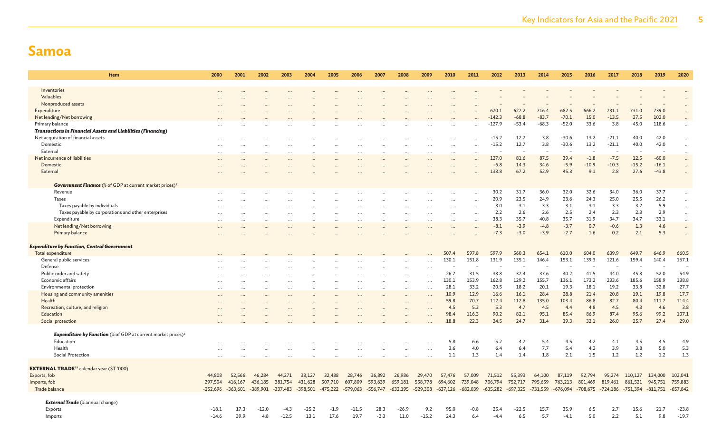| <b>Item</b>                                                                         | 2000       | 2001                | 2002    | 2003       | 2004       | 2005       | 2006       | 2007       | 2008       | 2009                 | 2010         | 2011         | 2012              | 2013             | 2014             | 2015             | 2016          | 2017             | 2018          | 2019           | 2020                 |
|-------------------------------------------------------------------------------------|------------|---------------------|---------|------------|------------|------------|------------|------------|------------|----------------------|--------------|--------------|-------------------|------------------|------------------|------------------|---------------|------------------|---------------|----------------|----------------------|
|                                                                                     |            |                     |         |            |            |            |            |            |            |                      |              |              |                   |                  |                  |                  |               |                  |               |                |                      |
| Inventories                                                                         |            |                     |         |            |            |            |            |            |            |                      |              |              |                   |                  |                  |                  |               |                  |               |                |                      |
| Valuables                                                                           |            |                     |         |            |            |            |            |            |            |                      |              |              |                   |                  |                  |                  |               |                  |               |                |                      |
| Nonproduced assets                                                                  |            |                     |         |            |            |            |            |            |            |                      |              |              |                   |                  |                  |                  |               |                  |               |                |                      |
| Expenditure                                                                         |            |                     |         |            |            |            |            |            |            |                      |              |              | 670.1<br>$-142.3$ | 627.2<br>$-68.8$ | 716.4<br>$-83.7$ | 682.5<br>$-70.1$ | 666.2<br>15.0 | 731.1<br>$-13.5$ | 731.0<br>27.5 | 739.0<br>102.0 |                      |
| Net lending/Net borrowing<br>Primary balance                                        |            |                     |         |            |            |            |            |            |            |                      |              |              | $-127.9$          | $-53.4$          | $-68.3$          | $-52.0$          | 33.6          | 3.8              | 45.0          | 118.6          |                      |
| <b>Transactions in Financial Assets and Liabilities (Financing)</b>                 |            |                     |         |            |            |            |            |            |            |                      |              | .            |                   |                  |                  |                  |               |                  |               |                | $\ddotsc$            |
| Net acquisition of financial assets                                                 |            |                     |         |            |            |            |            |            |            |                      |              |              | $-15.2$           | 12.7             | 3.8              | $-30.6$          | 13.2          | $-21.1$          | 40.0          | 42.0           | $\ddots$             |
| Domestic                                                                            |            |                     |         |            |            |            |            |            |            |                      | $\cdots$     |              | $-15.2$           | 12.7             | 3.8              | $-30.6$          | 13.2          | $-21.1$          | 40.0          | 42.0           | $\ddots$             |
| External                                                                            |            |                     |         |            |            |            |            |            |            |                      |              |              |                   |                  |                  |                  |               |                  |               |                | $\cdots$             |
| Net incurrence of liabilities                                                       |            |                     |         |            |            |            |            |            |            |                      |              | $\ddotsc$    | 127.0             | 81.6             | 87.5             | 39.4             | $-1.8$        | $-7.5$           | 12.5          | $-60.0$        | $\cdots$             |
| Domestic                                                                            |            |                     |         |            |            |            |            |            |            |                      |              |              | $-6.8$            | 14.3             | 34.6             | $-5.9$           | $-10.9$       | $-10.3$          | $-15.2$       | $-16.1$        | $\cdots$             |
| External                                                                            |            |                     |         |            |            |            |            |            |            |                      |              |              | 133.8             | 67.2             | 52.9             | 45.3             | 9.1           | 2.8              | 27.6          | $-43.8$        | $\ddots$             |
|                                                                                     |            |                     |         |            |            |            |            |            |            |                      |              |              |                   |                  |                  |                  |               |                  |               |                |                      |
| Government Finance (% of GDP at current market prices) <sup>z</sup>                 |            |                     |         |            |            |            |            |            |            |                      |              |              |                   |                  |                  |                  |               |                  |               |                |                      |
| Revenue                                                                             |            |                     |         |            |            |            |            |            |            |                      |              |              | 30.2              | 31.7             | 36.0             | 32.0             | 32.6          | 34.0             | 36.0          | 37.7           | $\ddots$             |
| <b>Taxes</b>                                                                        | $\ddotsc$  |                     |         |            | $\ddotsc$  |            |            |            |            |                      |              | $\cdots$     | 20.9<br>3.0       | 23.5<br>3.1      | 24.9             | 23.6<br>3.1      | 24.3<br>3.1   | 25.0             | 25.5<br>3.2   | 26.2<br>5.9    | $\ddotsc$            |
| Taxes payable by individuals<br>Taxes payable by corporations and other enterprises |            |                     |         |            |            |            |            |            |            |                      |              | $\cdots$     | 2.2               | 2.6              | 3.3<br>2.6       | 2.5              | 2.4           | 3.3<br>2.3       | 2.3           | 2.9            | $\ddots$             |
| Expenditure                                                                         |            |                     |         |            |            |            |            |            |            |                      |              | $\cdots$<br> | 38.3              | 35.7             | 40.8             | 35.7             | 31.9          | 34.7             | 34.7          | 33.1           | $\ddots$<br>$\ldots$ |
| Net lending/Net borrowing                                                           |            |                     |         |            |            |            |            |            |            |                      |              |              | $-8.1$            | $-3.9$           | $-4.8$           | $-3.7$           | 0.7           | $-0.6$           | 1.3           | 4.6            | $\ddots$             |
| Primary balance                                                                     |            |                     |         |            |            |            |            |            |            |                      |              |              | $-7.3$            | $-3.0$           | $-3.9$           | $-2.7$           | 1.6           | 0.2              | 2.1           | 5.3            | $\ddots$             |
|                                                                                     |            |                     |         |            |            |            |            |            |            |                      |              |              |                   |                  |                  |                  |               |                  |               |                |                      |
| <b>Expenditure by Function, Central Government</b>                                  |            |                     |         |            |            |            |            |            |            |                      |              |              |                   |                  |                  |                  |               |                  |               |                |                      |
| Total expenditure                                                                   |            |                     |         |            |            |            |            |            |            |                      | 507.4        | 597.8        | 597.9             | 560.3            | 654.1            | 610.0            | 604.0         | 639.9            | 649.7         | 646.9          | 660.5                |
| General public services                                                             |            |                     |         |            |            |            |            |            |            |                      | 130.1        | 151.8        | 131.9             | 135.1            | 146.4            | 153.1            | 139.3         | 121.6            | 159.4         | 140.4          | 167.1                |
| Defense                                                                             |            |                     |         |            |            |            |            |            |            |                      |              |              |                   |                  |                  |                  |               |                  |               |                |                      |
| Public order and safety                                                             |            |                     |         |            |            |            |            |            |            | $\cdots$             | 26.7         | 31.5         | 33.8              | 37.4             | 37.6             | 40.2             | 41.5          | 44.0             | 45.8          | 52.0           | 54.9                 |
| Economic affairs                                                                    |            |                     |         |            |            |            |            |            | $\ddotsc$  | $\cdots$             | 130.1        | 153.9        | 162.8             | 129.2            | 155.7            | 136.1            | 173.2         | 233.6            | 185.6         | 158.9          | 138.8<br>27.7        |
| Environmental protection                                                            |            |                     |         |            | $\cdots$   |            |            |            | $\ddotsc$  | $\cdots$             | 28.1<br>10.9 | 33.2<br>12.9 | 20.5<br>16.6      | 18.2<br>16.1     | 20.1<br>28.4     | 19.3<br>28.8     | 18.1<br>21.4  | 19.2<br>20.8     | 33.8<br>19.1  | 32.8<br>19.8   | 17.7                 |
| Housing and community amenities<br>Health                                           |            |                     |         |            |            |            |            |            |            | $\cdots$             | 59.8         | 70.7         | 112.4             | 112.8            | 135.0            | 103.4            | 86.8          | 82.7             | 80.4          | 111.7          | 114.4                |
| Recreation, culture, and religion                                                   |            |                     |         |            |            |            |            |            |            |                      | 4.5          | 5.3          | 5.3               | 4.7              | 4.5              | 4.4              | 4.8           | 4.5              | 4.3           | 4.6            | 3.8                  |
| Education                                                                           |            |                     |         |            |            |            |            |            |            |                      | 98.4         | 116.3        | 90.2              | 82.1             | 95.1             | 85.4             | 86.9          | 87.4             | 95.6          | 99.2           | 107.1                |
| Social protection                                                                   |            |                     |         |            |            |            |            |            |            |                      | 18.8         | 22.3         | 24.5              | 24.7             | 31.4             | 39.3             | 32.1          | 26.0             | 25.7          | 27.4           | 29.0                 |
|                                                                                     |            |                     |         |            |            |            |            |            |            |                      |              |              |                   |                  |                  |                  |               |                  |               |                |                      |
| <b>Expenditure by Function</b> (% of GDP at current market prices) <sup>z</sup>     |            |                     |         |            |            |            |            |            |            |                      |              |              |                   |                  |                  |                  |               |                  |               |                |                      |
| Education                                                                           |            |                     |         |            |            |            |            |            |            |                      | 5.8          | 6.6          | 5.2               | 4.7              | 5.4              | 4.5              | 4.2           | 4.1              | 4.5           | 4.5            | 4.9                  |
| Health                                                                              |            |                     |         |            |            |            |            |            |            | $\ddot{\phantom{a}}$ | 3.6          | 4.0          | 6.4               | 6.4              | 7.7              | 5.4              | 4.2           | 3.9              | 3.8           | 5.0            | 5.3                  |
| Social Protection                                                                   |            |                     |         |            |            |            |            |            | $\ddotsc$  |                      | 1.1          | 1.3          | 1.4               | 1.4              | 1.8              | 2.1              | 1.5           | 1.2              | 1.2           | 1.2            | 1.3                  |
| <b>EXTERNAL TRADE</b> <sup>aa</sup> calendar year (ST '000)                         |            |                     |         |            |            |            |            |            |            |                      |              |              |                   |                  |                  |                  |               |                  |               |                |                      |
| Exports, fob                                                                        | 44,808     | 52,566              | 46,284  | 44,271     | 33,127     | 32,488     | 28,746     | 36,892     | 26,986     | 29,470               | 57,476       | 57,009       | 71,512            | 55,393           | 64,100           | 87,119           | 92,794        | 95,274           | 110,127       | 134,000        | 102,041              |
| Imports, fob                                                                        | 297,504    | 416,167             | 436,185 | 381,754    | 431,628    | 507,710    | 607,809    | 593,639    | 659,181    | 558,778              | 694,602      | 739,048      | 706,794           | 752,717          | 795,659          | 763,213          | 801,469       | 819,461          | 861,521       | 945,751        | 759,883              |
| Trade balance                                                                       | $-252,696$ | $-363,601 -389,901$ |         | $-337,483$ | $-398,501$ | $-475,222$ | $-579,063$ | $-556,747$ | $-632,195$ | $-529,308$           | $-637,126$   | $-682,039$   | $-635,282$        | $-697,325$       | $-731,559$       | $-676,094$       | $-708,675$    | $-724,186$       | $-751,394$    | $-811,751$     | $-657,842$           |
|                                                                                     |            |                     |         |            |            |            |            |            |            |                      |              |              |                   |                  |                  |                  |               |                  |               |                |                      |
| <b>External Trade</b> (% annual change)                                             |            |                     |         |            |            |            |            |            |            |                      |              |              |                   |                  |                  |                  |               |                  |               |                |                      |
| Exports                                                                             | $-18.1$    | 17.3                | $-12.0$ | -4.3       | $-25.2$    | $-1.9$     | $-11.5$    | 28.3       | $-26.9$    | 9.2                  | 95.0         | $-0.8$       | 25.4              | $-22.5$          | 15.7             | 35.9             | 6.5           | 2.7              | 15.6          | 21.7           | $-23.8$              |
| Imports                                                                             | $-14.6$    | 39.9                | 4.8     | $-12.5$    | 13.1       | 17.6       | 19.7       | $-2.3$     | 11.0       | $-15.2$              | 24.3         | 6.4          | $-4.4$            | 6.5              | 5.7              | $-4.1$           | 5.0           | 2.2              | 5.1           | 9.8            | $-19.7$              |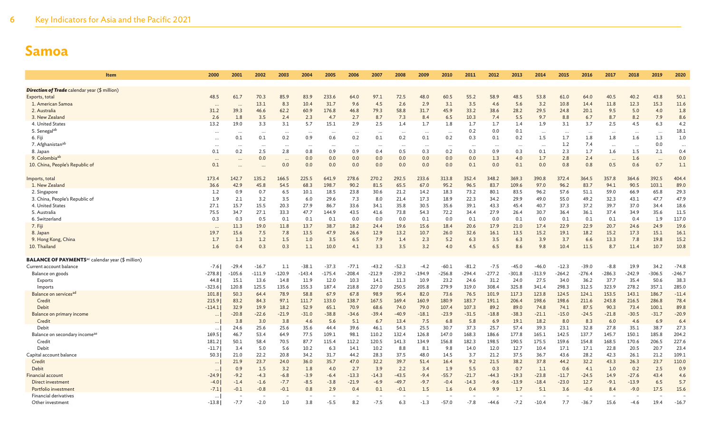| <b>Item</b>                                                        | 2000     | 2001      | 2002     | 2003     | 2004     | 2005      | 2006     | 2007      | 2008     | 2009      | 2010     | 2011     | 2012     | 2013     | 2014     | 2015     | 2016     | 2017     | 2018     | 2019     | 2020      |
|--------------------------------------------------------------------|----------|-----------|----------|----------|----------|-----------|----------|-----------|----------|-----------|----------|----------|----------|----------|----------|----------|----------|----------|----------|----------|-----------|
|                                                                    |          |           |          |          |          |           |          |           |          |           |          |          |          |          |          |          |          |          |          |          |           |
| <b>Direction of Trade</b> calendar year (\$ million)               |          |           |          |          |          |           |          |           |          |           |          |          |          |          |          |          |          |          |          |          |           |
| Exports, total                                                     | 48.5     | 61.7      | 70.3     | 85.9     | 83.9     | 233.6     | 64.0     | 97.1      | 72.5     | 48.0      | 60.5     | 55.2     | 58.9     | 48.5     | 53.8     | 61.0     | 64.0     | 40.5     | 40.2     | 43.8     | 50.1      |
| 1. American Samoa                                                  |          |           | 13.1     | 8.3      | 10.4     | 31.7      | 9.6      | 4.5       | 2.6      | 2.9       | 3.1      | 3.5      | 4.6      | 5.6      | 3.2      | 10.8     | 14.4     | 11.8     | 12.3     | 15.3     | 11.6      |
| 2. Australia                                                       | 31.2     | 39.3      | 46.6     | 62.2     | 60.9     | 176.8     | 46.8     | 79.3      | 58.8     | 31.7      | 45.9     | 33.2     | 38.6     | 28.2     | 29.5     | 24.8     | 20.1     | 9.5      | 5.0      | 4.0      | 1.8       |
| 3. New Zealand                                                     | 2.6      | 1.8       | 3.5      | 2.4      | 2.3      | 4.7       | 2.7      | 8.7       | 7.3      | 8.4       | 6.5      | 10.3     | 7.4      | 5.5      | 9.7      | 8.8      | 6.7      | 8.7      | 8.2      | 7.9      | 8.6       |
| 4. United States                                                   | 13.2     | 19.0      | 3.3      | 3.1      | 5.7      | 15.1      | 2.9      | 2.5       | 1.4      | 1.7       | 1.8      | 1.7      | 1.7      | 1.4      | 1.9      | 3.1      | 3.7      | 2.5      | 4.5      | 6.3      | 4.2       |
| 5. Senegal <sup>ab</sup>                                           | $\cdots$ | $\cdots$  | $\ddots$ | $\cdots$ | $\cdots$ |           |          |           | $\cdots$ | $\ddotsc$ |          | 0.2      | 0.0      | 0.1      | $\cdots$ |          | $\cdots$ | $\cdots$ | $\cdots$ | $\cdots$ | 18.1      |
| 6. Fiji                                                            | $\cdots$ | 0.1       | 0.1      | 0.2      | 0.9      | 0.6       | 0.2      | 0.1       | 0.2      | 0.1       | 0.2      | 0.3      | 0.1      | 0.2      | 1.5      | 1.7      | 1.8      | 1.8      | 1.6      | 1.3      | 1.0       |
| 7. Afghanistan <sup>ab</sup>                                       | $\cdots$ | $\cdots$  | $\ddots$ | $\cdots$ | $\cdots$ | $\cdot$ . | $\cdots$ | $\ddotsc$ | $\cdots$ | $\cdots$  |          | $\cdots$ | $\cdots$ | $\ddots$ | $\ddots$ | 1.2      | 7.4      | $\cdots$ | $\cdots$ | 0.0      | $\ddotsc$ |
| 8. Japan                                                           | 0.1      | 0.2       | 2.5      | 2.8      | 0.8      | 0.9       | 0.9      | 0.4       | 0.5      | 0.3       | 0.2      | 0.3      | 0.9      | 0.3      | 0.1      | 2.3      | 1.7      | 1.6      | 1.5      | 2.1      | 0.4       |
| 9. Colombia <sup>ab</sup>                                          | $\cdots$ | $\ddotsc$ | 0.0      | $\cdots$ | 0.0      | 0.0       | 0.0      | 0.0       | 0.0      | 0.0       | 0.0      | 0.0      | 1.3      | 4.0      | 1.7      | 2.8      | 2.4      | $\cdots$ | 1.6      | $\cdots$ | 0.0       |
| 10. China, People's Republic of                                    | 0.1      |           |          | 0.0      | 0.0      | 0.0       | 0.0      | 0.0       | 0.0      | 0.0       | 0.0      | 0.1      | 0.0      | 0.1      | 0.0      | 0.8      | 0.8      | 0.5      | 0.6      | 0.7      | 1.1       |
| Imports, total                                                     | 173.4    | 142.7     | 135.2    | 166.5    | 225.5    | 641.9     | 278.6    | 270.2     | 292.5    | 233.6     | 313.8    | 352.4    | 348.2    | 369.3    | 390.8    | 372.4    | 364.5    | 357.8    | 364.6    | 392.5    | 404.4     |
| 1. New Zealand                                                     | 36.6     | 42.9      | 45.8     | 54.5     | 68.3     | 198.7     | 90.2     | 81.5      | 65.5     | 67.0      | 95.2     | 96.5     | 83.7     | 109.6    | 97.0     | 96.2     | 83.7     | 94.1     | 90.5     | 103.1    | 89.0      |
| 2. Singapore                                                       | 1.2      | 0.9       | 0.7      | 6.5      | 10.1     | 18.5      | 23.8     | 30.6      | 21.2     | 14.2      | 18.3     | 73.2     | 80.1     | 83.5     | 96.2     | 57.6     | 51.1     | 59.0     | 66.9     | 65.8     | 29.3      |
| 3. China, People's Republic of                                     | 1.9      | 2.1       | 3.2      | 3.5      | 6.0      | 29.6      | 7.3      | 8.0       | 21.4     | 17.3      | 18.9     | 22.3     | 34.2     | 29.9     | 49.0     | 55.0     | 49.2     | 32.3     | 43.1     | 47.7     | 47.9      |
| 4. United States                                                   | 27.1     | 15.7      | 15.5     | 20.3     | 27.9     | 86.7      | 33.6     | 34.1      | 35.8     | 30.5      | 35.6     | 39.1     | 43.3     | 45.4     | 40.7     | 37.3     | 37.2     | 39.7     | 37.0     | 34.4     | 18.6      |
| 5. Australia                                                       | 75.5     | 34.7      | 27.1     | 33.3     | 47.7     | 144.9     | 43.5     | 41.6      | 73.8     | 54.3      | 72.2     | 34.4     | 27.9     | 26.4     | 30.7     | 36.4     | 36.1     | 37.4     | 34.9     | 35.6     | 11.5      |
| 6. Switzerland                                                     | 0.3      | 0.3       | 0.5      | 0.1      | 0.1      | 0.1       | 0.0      | 0.0       | 0.0      | 0.1       | 0.0      | 0.1      | 0.0      | 0.1      | 0.0      | 0.1      | 0.1      | 0.1      | 0.4      | 1.9      | 117.0     |
| 7. Fiji                                                            | $\cdots$ | 11.3      | 19.0     | 11.8     | 13.7     | 38.7      | 18.2     | 24.4      | 19.6     | 15.6      | 18.4     | 20.6     | 17.9     | 21.0     | 17.4     | 22.9     | 22.9     | 20.7     | 24.6     | 24.9     | 19.6      |
| 8. Japan                                                           | 19.7     | 15.6      | 7.5      | 7.8      | 13.5     | 47.9      | 26.6     | 12.9      | 13.2     | 10.7      | 26.0     | 32.6     | 16.1     | 13.5     | 15.2     | 19.1     | 18.2     | 15.2     | 17.3     | 15.1     | 16.1      |
| 9. Hong Kong, China                                                | 1.7      | 1.3       | 1.2      | 1.5      | 1.0      | 3.5       | 6.5      | 7.9       | 1.4      | 2.3       | 5.2      | 6.3      | 3.5      | 6.3      | 3.9      | 3.7      | 6.6      | 13.3     | 7.8      | 19.8     | 15.2      |
| 10. Thailand                                                       | 1.6      | 0.4       | 0.3      | 0.3      | 1.1      | 10.0      | 4.1      | 3.3       | 3.5      | 3.2       | 4.0      | 4.5      | 6.5      | 8.6      | 9.8      | 10.4     | 11.5     | 8.7      | 11.4     | 10.7     | 10.8      |
| <b>BALANCE OF PAYMENTS<sup>ac</sup> calendar year (\$ million)</b> |          |           |          |          |          |           |          |           |          |           |          |          |          |          |          |          |          |          |          |          |           |
| Current account balance                                            | $-7.6$   | $-29.4$   | $-16.7$  | 1.1      | $-38.1$  | $-37.3$   | $-77.1$  | $-43.2$   | $-52.3$  | $-4.2$    | $-60.1$  | $-81.2$  | $-7.5$   | $-45.0$  | $-46.0$  | $-12.3$  | $-39.0$  | $-8.8$   | 19.9     | 34.2     | $-74.8$   |
| Balance on goods                                                   | $-278.8$ | $-105.6$  | $-111.9$ | $-120.9$ | $-143.4$ | $-175.4$  | $-208.4$ | $-212.9$  | $-239.2$ | $-194.9$  | $-256.8$ | $-294.4$ | $-277.2$ | $-301.8$ | $-313.9$ | $-264.2$ | $-276.4$ | $-286.3$ | $-242.9$ | $-306.5$ | $-246.7$  |
| Exports                                                            | 44.8     | 15.1      | 13.6     | 14.8     | 11.9     | 12.0      | 10.3     | 14.1      | 11.3     | 10.9      | 23.2     | 24.6     | 31.2     | 24.0     | 27.5     | 34.0     | 36.2     | 37.7     | 35.4     | 50.6     | 38.3      |
| Imports                                                            | $-323.6$ | 120.8     | 125.5    | 135.6    | 155.3    | 187.4     | 218.8    | 227.0     | 250.5    | 205.8     | 279.9    | 319.0    | 308.4    | 325.8    | 341.4    | 298.3    | 312.5    | 323.9    | 278.2    | 357.1    | 285.0     |
| Balance on services <sup>ad</sup>                                  | 101.8    | 50.3      | 64.4     | 78.9     | 58.8     | 67.9      | 67.8     | 98.9      | 95.4     | 82.0      | 73.6     | 76.5     | 101.9    | 117.3    | 123.8    | 124.5    | 124.1    | 153.5    | 143.1    | 186.7    | $-11.4$   |
| Credit                                                             | 215.9    | 83.2      | 84.3     | 97.1     | 111.7    | 133.0     | 138.7    | 167.5     | 169.4    | 160.9     | 180.9    | 183.7    | 191.1    | 206.4    | 198.6    | 198.6    | 211.6    | 243.8    | 216.5    | 286.8    | 78.4      |
| Debit                                                              | $-114.1$ | 32.9      | 19.9     | 18.2     | 52.9     | 65.1      | 70.9     | 68.6      | 74.0     | 79.0      | 107.4    | 107.3    | 89.2     | 89.0     | 74.8     | 74.1     | 87.5     | 90.3     | 73.4     | 100.1    | 89.8      |
| Balance on primary income                                          | $\cdots$ | $-20.8$   | $-22.6$  | $-21.9$  | $-31.0$  | $-38.8$   | $-34.6$  | $-39.4$   | $-40.9$  | $-18.1$   | $-23.9$  | $-31.5$  | $-18.8$  | $-38.3$  | $-21.1$  | $-15.0$  | $-24.5$  | $-21.8$  | $-30.5$  | $-31.7$  | $-20.9$   |
| Credit                                                             | $\cdots$ | 3.8       | 3.0      | 3.8      | 4.6      | 5.6       | 5.1      | 6.7       | 13.4     | 7.5       | 6.8      | 5.8      | 6.9      | 19.1     | 18.2     | 8.0      | 8.3      | 6.0      | 4.6      | 6.9      | 6.4       |
| Debit                                                              | $\cdots$ | 24.6      | 25.6     | 25.6     | 35.6     | 44.4      | 39.6     | 46.1      | 54.3     | 25.5      | 30.7     | 37.3     | 25.7     | 57.4     | 39.3     | 23.1     | 32.8     | 27.8     | 35.1     | 38.7     | 27.3      |
| Balance on secondary incomeae                                      | 169.5    | 46.7      | 53.4     | 64.9     | 77.5     | 109.1     | 98.1     | 110.2     | 132.4    | 126.8     | 147.0    | 168.3    | 186.6    | 177.8    | 165.1    | 142.5    | 137.7    | 145.7    | 150.1    | 185.8    | 204.2     |
| Credit                                                             | 181.2    | 50.1      | 58.4     | 70.5     | 87.7     | 115.4     | 112.2    | 120.5     | 141.3    | 134.9     | 156.8    | 182.3    | 198.5    | 190.5    | 175.5    | 159.6    | 154.8    | 168.5    | 170.6    | 206.5    | 227.6     |
| Debit                                                              | $-11.7$  | 3.4       | 5.0      | 5.6      | 10.2     | 6.3       | 14.1     | 10.2      | 8.8      | 8.1       | 9.8      | 14.0     | 12.0     | 12.7     | 10.4     | 17.1     | 17.1     | 22.8     | 20.5     | 20.7     | 23.4      |
| Capital account balance                                            | 50.3     | 21.0      | 22.2     | 20.8     | 34.2     | 31.7      | 44.2     | 28.3      | 37.5     | 48.0      | 14.5     | 3.7      | 21.2     | 37.5     | 36.7     | 43.6     | 28.2     | 42.3     | 26.1     | 21.2     | 109.1     |
| Credit                                                             | $\cdots$ | 21.9      | 23.7     | 24.0     | 36.0     | 35.7      | 47.0     | 32.2      | 39.7     | 51.4      | 16.4     | 9.2      | 21.5     | 38.2     | 37.8     | 44.2     | 32.2     | 43.3     | 26.3     | 23.7     | 110.0     |
| Debit                                                              | $\cdots$ | 0.9       | 1.5      | 3.2      | 1.8      | 4.0       | 2.7      | 3.9       | 2.2      | 3.4       | 1.9      | 5.5      | 0.3      | 0.7      | 1.1      | 0.6      | 4.1      | 1.0      | 0.2      | 2.5      | 0.9       |
| <b>Financial account</b>                                           | $-24.9$  | $-9.2$    | $-4.3$   | $-6.8$   | $-3.9$   | $-6.4$    | $-13.3$  | $-14.3$   | $-43.5$  | $-9.4$    | $-55.7$  | $-21.7$  | $-44.3$  | $-19.3$  | $-23.8$  | $-11.7$  | $-24.5$  | 14.9     | $-27.6$  | 43.4     | 4.6       |
| Direct investment                                                  | $-4.0$   | $-1.4$    | $-1.6$   | $-7.7$   | $-8.5$   | $-3.8$    | $-21.9$  | $-6.9$    | $-49.7$  | $-9.7$    | $-0.4$   | $-14.3$  | $-9.6$   | $-13.9$  | $-18.4$  | $-23.0$  | 12.7     | $-9.1$   | $-13.9$  | 6.5      | 5.7       |
| Portfolio investment                                               | $-7.1$   | $-0.1$    | $-0.8$   | $-0.1$   | 0.8      | 2.9       | 0.4      | 0.1       | $-0.1$   | 1.5       | 1.6      | 0.4      | 9.9      | 1.7      | 5.1      | 3.6      | $-0.6$   | 8.4      | $-9.0$   | 17.5     | 15.6      |
| <b>Financial derivatives</b>                                       | $\cdots$ |           |          |          |          |           |          |           |          |           |          |          |          |          |          |          |          |          |          |          |           |
| Other investment                                                   | $-13.8$  | $-7.7$    | $-2.0$   | 1.0      | 3.8      | $-5.5$    | 8.2      | $-7.5$    | 6.3      | $-1.3$    | $-57.0$  | -7.8     | $-44.6$  | $-7.2$   | $-10.4$  | 7.7      | $-36.7$  | 15.6     | -4.6     | 19.4     | $-16.7$   |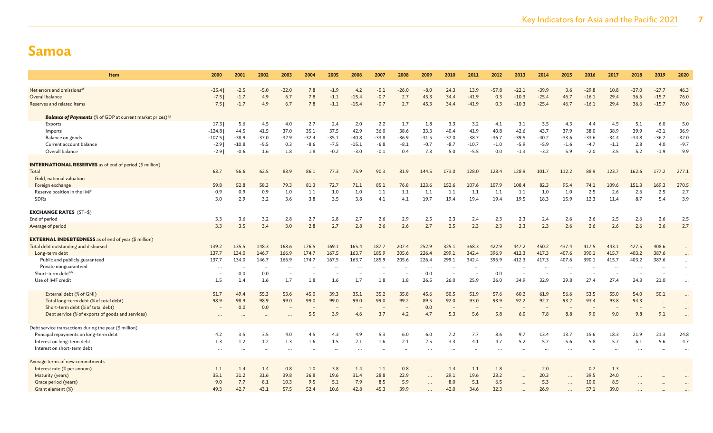| Item                                                                         | 2000     | 2001     | 2002     | 2003      | 2004     | 2005      | 2006      | 2007      | 2008     | 2009       | 2010      | 2011                     | 2012     | 2013     | 2014      | 2015      | 2016     | 2017     | 2018      | 2019     | 2020      |
|------------------------------------------------------------------------------|----------|----------|----------|-----------|----------|-----------|-----------|-----------|----------|------------|-----------|--------------------------|----------|----------|-----------|-----------|----------|----------|-----------|----------|-----------|
| Net errors and omissions <sup>af</sup>                                       | $-25.4$  | $-2.5$   | $-5.0$   | $-22.0$   | 7.8      | $-1.9$    | 4.2       | $-0.1$    | $-26.0$  | $-8.0$     | 24.3      | 13.9                     | $-57.8$  | $-22.1$  | $-39.9$   | 3.6       | $-29.8$  | 10.8     | $-37.0$   | $-27.7$  | 46.3      |
| Overall balance                                                              | $-7.5$   | $-1.7$   | 4.9      | 6.7       | 7.8      | $-1.1$    | $-15.4$   | $-0.7$    | 2.7      | 45.3       | 34.4      | $-41.9$                  | 0.3      | $-10.3$  | $-25.4$   | 46.7      | $-16.1$  | 29.4     | 36.6      | $-15.7$  | 76.0      |
| Reserves and related items                                                   | 7.5      | $-1.7$   | 4.9      | 6.7       | 7.8      | $-1.1$    | $-15.4$   | $-0.7$    | 2.7      | 45.3       | 34.4      | $-41.9$                  | 0.3      | $-10.3$  | $-25.4$   | 46.7      | $-16.1$  | 29.4     | 36.6      | $-15.7$  | 76.0      |
|                                                                              |          |          |          |           |          |           |           |           |          |            |           |                          |          |          |           |           |          |          |           |          |           |
| <b>Balance of Payments</b> (% of GDP at current market prices) <sup>ag</sup> |          |          |          |           |          |           |           |           |          |            |           |                          |          |          |           |           |          |          |           |          |           |
| Exports                                                                      | 17.3     | 5.6      | 4.5      | 4.0       | 2.7      | 2.4       | 2.0       | 2.2       | 1.7      | 1.8        | 3.3       | 3.2                      | 4.1      | 3.1      | 3.5       | 4.3       | 4.4      | 4.5      | 5.1       | 6.0      | 5.0       |
| Imports                                                                      | $-124.8$ | 44.5     | 41.5     | 37.0      | 35.1     | 37.5      | 42.9      | 36.0      | 38.6     | 33.3       | 40.4      | 41.9                     | 40.8     | 42.6     | 43.7      | 37.9      | 38.0     | 38.9     | 39.9      | 42.1     | 36.9      |
| Balance on goods                                                             | $-107.5$ | $-38.9$  | $-37.0$  | $-32.9$   | $-32.4$  | $-35.1$   | $-40.8$   | $-33.8$   | $-36.9$  | $-31.5$    | $-37.0$   | $-38.7$                  | $-36.7$  | $-39.5$  | $-40.2$   | $-33.6$   | $-33.6$  | $-34.4$  | $-34.8$   | $-36.2$  | $-32.0$   |
| Current account balance                                                      | $-2.9$   | $-10.8$  | $-5.5$   | 0.3       | $-8.6$   | $-7.5$    | $-15.1$   | $-6.8$    | $-8.1$   | $-0.7$     | $-8.7$    | $-10.7$                  | $-1.0$   | $-5.9$   | $-5.9$    | $-1.6$    | $-4.7$   | $-1.1$   | 2.8       | 4.0      | $-9.7$    |
| Overall balance                                                              | $-2.9$   | $-0.6$   | 1.6      | 1.8       | 1.8      | $-0.2$    | $-3.0$    | $-0.1$    | 0.4      | 7.3        | 5.0       | $-5.5$                   | 0.0      | $-1.3$   | $-3.2$    | 5.9       | $-2.0$   | 3.5      | 5.2       | $-1.9$   | 9.9       |
|                                                                              |          |          |          |           |          |           |           |           |          |            |           |                          |          |          |           |           |          |          |           |          |           |
| <b>INTERNATIONAL RESERVES</b> as of end of period (\$ million)               |          |          |          |           |          |           |           |           |          |            |           |                          |          |          |           |           |          |          |           |          |           |
| Total                                                                        | 63.7     | 56.6     | 62.5     | 83.9      | 86.1     | 77.3      | 75.9      | 90.3      | 81.9     | 144.5      | 173.0     | 128.0                    | 128.4    | 128.9    | 101.7     | 112.2     | 88.9     | 123.7    | 162.6     | 177.2    | 277.1     |
| Gold, national valuation                                                     | $\cdots$ | $\cdots$ | $\cdots$ | $\cdots$  | $\cdots$ |           | $\cdots$  | $\cdots$  | $\ddots$ |            | $\ddotsc$ | $\overline{\phantom{a}}$ | $\cdots$ | $\cdots$ | $\cdots$  | $\cdots$  | $\cdots$ | $\cdots$ |           | $\cdots$ | $\cdots$  |
| Foreign exchange                                                             | 59.8     | 52.8     | 58.3     | 79.3      | 81.3     | 72.7      | 71.1      | 85.1      | 76.8     | 123.6      | 152.6     | 107.6                    | 107.9    | 108.4    | 82.3      | 95.4      | 74.1     | 109.6    | 151.3     | 169.3    | 270.5     |
| Reserve position in the IMF                                                  | 0.9      | 0.9      | 0.9      | 1.0       | 1.1      | 1.0       | 1.0       | 1.1       | 1.1      | 1.1        | 1.1       | 1.1                      | 1.1      | 1.1      | 1.0       | 1.0       | 2.5      | 2.6      | 2.6       | 2.5      | 2.7       |
| SDRs                                                                         | 3.0      | 2.9      | 3.2      | 3.6       | 3.8      | 3.5       | 3.8       | 4.1       | 4.1      | 19.7       | 19.4      | 19.4                     | 19.4     | 19.5     | 18.3      | 15.9      | 12.3     | 11.4     | 8.7       | 5.4      | 3.9       |
| <b>EXCHANGE RATES (ST-\$)</b>                                                |          |          |          |           |          |           |           |           |          |            |           |                          |          |          |           |           |          |          |           |          |           |
| End of period                                                                | 3.3      | 3.6      | 3.2      | 2.8       | 2.7      | 2.8       | 2.7       | 2.6       | 2.9      | 2.5        | 2.3       | 2.4                      | 2.3      | 2.3      | 2.4       | 2.6       | 2.6      | 2.5      | 2.6       | 2.6      | 2.5       |
| Average of period                                                            | 3.3      | 3.5      | 3.4      | 3.0       | 2.8      | 2.7       | 2.8       | 2.6       | 2.6      | 2.7        | 2.5       | 2.3                      | 2.3      | 2.3      | 2.3       | 2.6       | 2.6      | 2.6      | 2.6       | 2.6      | 2.7       |
|                                                                              |          |          |          |           |          |           |           |           |          |            |           |                          |          |          |           |           |          |          |           |          |           |
| <b>EXTERNAL INDEBTEDNESS</b> as of end of year (\$ million)                  |          |          |          |           |          |           |           |           |          |            |           |                          |          |          |           |           |          |          |           |          |           |
| Total debt outstanding and disbursed                                         | 139.2    | 135.5    | 148.3    | 168.6     | 176.5    | 169.1     | 165.4     | 187.7     | 207.4    | 252.9      | 325.1     | 368.3                    | 422.9    | 447.2    | 450.2     | 437.4     | 417.5    | 443.1    | 427.5     | 408.6    |           |
| Long-term debt                                                               | 137.7    | 134.0    | 146.7    | 166.9     | 174.7    | 167.5     | 163.7     | 185.9     | 205.6    | 226.4      | 299.1     | 342.4                    | 396.9    | 412.3    | 417.3     | 407.6     | 390.1    | 415.7    | 403.2     | 387.6    |           |
| Public and publicly guaranteed                                               | 137.7    | 134.0    | 146.7    | 166.9     | 174.7    | 167.5     | 163.7     | 185.9     | 205.6    | 226.4      | 299.1     | 342.4                    | 396.9    | 412.3    | 417.3     | 407.6     | 390.1    | 415.7    | 403.2     | 387.6    |           |
| Private nonguaranteed                                                        | $\cdots$ |          |          | $\cdots$  |          |           |           | $\ddotsc$ | $\ddots$ | $\cdots$   | $\ddotsc$ | $\cdots$                 |          | $\cdots$ | $\ddotsc$ | $\cdots$  | $\ddots$ |          | $\ddotsc$ | $\ddots$ | $\ddotsc$ |
| Short-term debtah                                                            |          | 0.0      | 0.0      |           |          |           |           |           |          | 0.0        | ÷.        |                          | 0.0      |          |           |           |          |          |           |          | $\ddotsc$ |
| Use of IMF credit                                                            | 1.5      | 1.4      | 1.6      | 1.7       | 1.8      | 1.6       | 1.7       | 1.8       | 1.8      | 26.5       | 26.0      | 25.9                     | 26.0     | 34.9     | 32.9      | 29.8      | 27.4     | 27.4     | 24.3      | 21.0     | $\ddotsc$ |
| External debt (% of GNI)                                                     | 51.7     | 49.4     | 55.3     | 53.6      | 45.0     | 39.3      | 35.1      | 35.2      | 35.8     | 45.6       | 50.5      | 51.9                     | 57.6     | 60.2     | 61.9      | 56.6      | 53.5     | 55.0     | 54.0      | 50.1     | $\cdots$  |
| Total long-term debt (% of total debt)                                       | 98.9     | 98.9     | 98.9     | 99.0      | 99.0     | 99.0      | 99.0      | 99.0      | 99.2     | 89.5       | 92.0      | 93.0                     | 93.9     | 92.2     | 92.7      | 93.2      | 93.4     | 93.8     | 94.3      | $\cdots$ |           |
| Short-term debt (% of total debt)                                            |          | 0.0      | 0.0      |           |          |           |           |           |          | 0.0        |           |                          |          |          |           |           |          |          |           |          |           |
|                                                                              |          |          |          |           | 5.5      | 3.9       | 4.6       | 3.7       | 4.2      | 4.7        | 5.3       | 5.6                      | 5.8      | 6.0      | 7.8       | 8.8       | 9.0      | 9.0      | 9.8       | 9.1      |           |
| Debt service (% of exports of goods and services)                            | $\cdots$ |          |          |           |          |           |           |           |          |            |           |                          |          |          |           |           |          |          |           |          |           |
| Debt service transactions during the year (\$ million)                       |          |          |          |           |          |           |           |           |          |            |           |                          |          |          |           |           |          |          |           |          |           |
| Principal repayments on long-term debt                                       | 4.2      | 3.5      | 3.5      | 4.0       | 4.5      | 4.3       | 4.9       | 5.3       | 6.0      | 6.0        | 7.2       | 7.7                      | 8.6      | 9.7      | 13.4      | 13.7      | 15.6     | 18.3     | 21.9      | 21.3     | 24.8      |
| Interest on long-term debt                                                   | 1.3      | 1.2      | 1.2      | 1.3       | 1.6      | 1.5       | 2.1       | 1.6       | 2.1      | 2.5        | 3.3       | 4.1                      | 4.7      | 5.2      | 5.7       | 5.6       | 5.8      | 5.7      | 6.1       | 5.6      | 4.7       |
| Interest on short-term debt                                                  | $\cdots$ |          |          | $\ddotsc$ |          | $\ddotsc$ | $\ddotsc$ | $\ddotsc$ | $\cdots$ |            |           |                          |          |          |           | $\cdots$  |          |          |           |          |           |
| Average terms of new commitments                                             |          |          |          |           |          |           |           |           |          |            |           |                          |          |          |           |           |          |          |           |          |           |
| Interest rate (% per annum)                                                  | 1.1      | 1.4      | 1.4      | 0.8       | 1.0      | 3.8       | 1.4       | 1.1       | 0.8      | $\dddotsc$ | 1.4       | 1.1                      | 1.8      |          | 2.0       | $\ddotsc$ | 0.7      | 1.3      |           |          |           |
| Maturity (years)                                                             | 35.1     | 31.2     | 31.6     | 39.8      | 36.8     | 19.6      | 31.4      | 28.8      | 22.9     |            | 29.1      | 19.6                     | 23.2     |          | 20.3      | $\ddotsc$ | 39.5     | 24.0     |           |          |           |
| Grace period (years)                                                         | 9.0      | 7.7      | 8.1      | 10.3      | 9.5      | 5.1       | 7.9       | 8.5       | 5.9      |            | 8.0       | 5.1                      | 6.5      |          | 5.3       |           | 10.0     | 8.5      |           |          |           |
| Grant element (%)                                                            | 49.3     | 42.7     | 43.1     | 57.5      | 52.4     | 10.6      | 42.8      | 45.3      | 39.9     |            | 42.0      | 34.6                     | 32.3     |          | 26.9      |           | 57.1     | 39.0     |           |          |           |
|                                                                              |          |          |          |           |          |           |           |           |          |            |           |                          |          |          |           |           |          |          |           |          |           |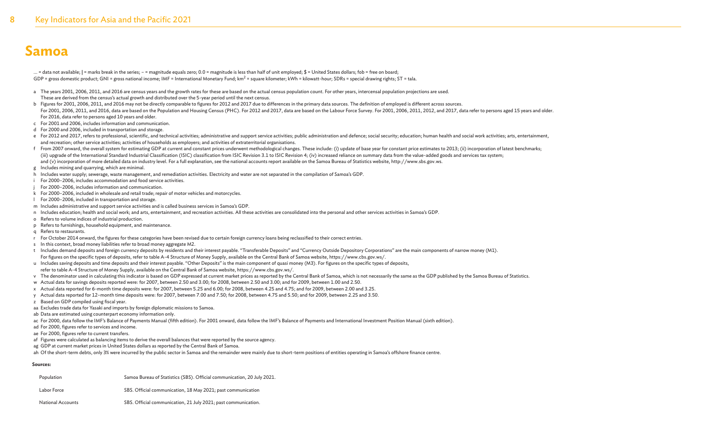... = data not available; | = marks break in the series; - = magnitude equals zero; 0.0 = magnitude is less than half of unit employed; \$ = United States dollars; fob = free on board; GDP = gross domestic product; GNI = gross national income; IMF = International Monetary Fund; km<sup>2</sup> = square kilometer; kWh = kilowatt-hour; SDRs = special drawing rights; ST = tala.

- a The years 2001, 2006, 2011, and 2016 are census years and the growth rates for these are based on the actual census population count. For other years, intercensal population projections are used. These are derived from the census's actual growth and distributed over the 5-year period until the next census.
- b Figures for 2001, 2006, 2011, and 2016 may not be directly comparable to figures for 2012 and 2017 due to differences in the primary data sources. The definition of employed is different across sources. For 2001, 2006, 2011, and 2016, data are based on the Population and Housing Census (PHC). For 2012 and 2017, data are based on the Labour Force Survey. For 2001, 2006, 2011, 2012, and 2017, data refer to persons aged 15 y For 2016, data refer to persons aged 10 years and older.
- c For 2001 and 2006, includes information and communication.
- d For 2000 and 2006, included in transportation and storage.
- e For 2012 and 2017, refers to professional, scientific, and technical activities; administrative and support service activities; public administration and defence; social security; education; human health and social work and recreation; other service activities; activities of households as employers; and activities of extraterritorial organisations.
- f From 2007 onward, the overall system for estimating GDP at current and constant prices underwent methodological changes. These include: (i) update of base year for constant price estimates to 2013; (ii) incorporation of (iii) upgrade of the International Standard Industrial Classification (ISIC) classification from ISIC Revision 3.1 to ISIC Revision 4; (iv) increased reliance on summary data from the value-added goods and services tax sys and (v) incorporation of more detailed data on industry level. For a full explanation, see the national accounts report available on the Samoa Bureau of Statistics website, http://www.sbs.gov.ws.
- g Includes mining and quarrying, which are minimal.
- h Includes water supply; sewerage, waste management, and remediation activities. Electricity and water are not separated in the compilation of Samoa's GDP.
- i For 2000–2006, includes accommodation and food service activities.
- For 2000–2006, includes information and communication.
- k For 2000–2006, included in wholesale and retail trade; repair of motor vehicles and motorcycles.
- l For 2000–2006, included in transportation and storage.
- m Includes administrative and support service activities and is called business services in Samoa's GDP.
- n Includes education; health and social work; and arts, entertainment, and recreation activities. All these activities are consolidated into the personal and other services activities in Samoa's GDP.
- o Refers to volume indices of industrial production.
- p Refers to furnishings, household equipment, and maintenance.
- q Refers to restaurants.
- r For October 2014 onward, the figures for these categories have been revised due to certain foreign currency loans being reclassified to their correct entries.
- s In this context, broad money liabilities refer to broad money aggregate M2.
- t Includes demand deposits and foreign currency deposits by residents and their interest payable. "Transferable Deposits" and "Currency Outside Depository Corporations" are the main components of narrow money (M1).
- For figures on the specific types of deposits, refer to table A-4 Structure of Money Supply, available on the Central Bank of Samoa website, https://www.cbs.gov.ws/.
- u Includes saving deposits and time deposits and their interest payable. "Other Deposits" is the main component of quasi money (M3). For figures on the specific types of deposits,
- refer to table A-4 Structure of Money Supply, available on the Central Bank of Samoa website, https://www.cbs.gov.ws/.
- v The denominator used in calculating this indicator is based on GDP expressed at current market prices as reported by the Central Bank of Samoa, which is not necessarily the same as the GDP published by the Samoa Bureau o
- w Actual data for savings deposits reported were: for 2007, between 2.50 and 3.00; for 2008, between 2.50 and 3.00; and for 2009, between 1.00 and 2.50.
- x Actual data reported for 6-month time deposits were: for 2007, between 5.25 and 6.00; for 2008, between 4.25 and 4.75; and for 2009, between 2.00 and 3.25.
- y Actual data reported for 12–month time deposits were: for 2007, between 7.00 and 7.50; for 2008, between 4.75 and 5.50; and for 2009, between 2.25 and 3.50.
- z Based on GDP compiled using fiscal year.
- aa Excludes trade data for Yasaki and imports by foreign diplomatic missions to Samoa.
- ab Data are estimated using counterpart economy information only.
- ac For 2000, data follow the IMF's Balance of Payments Manual (fifth edition). For 2001 onward, data follow the IMF's Balance of Payments and International Investment Position Manual (sixth edition).
- ad For 2000, figures refer to services and income.
- ae For 2000, figures refer to current transfers.
- af Figures were calculated as balancing items to derive the overall balances that were reported by the source agency.
- ag GDP at current market prices in United States dollars as reported by the Central Bank of Samoa.

ah Of the short-term debts, only 3% were incurred by the public sector in Samoa and the remainder were mainly due to short-term positions of entities operating in Samoa's offshore finance centre.

#### **Sources:**

| Population  | Samoa Bureau of Statistics (SBS). Official communication, 20 July 2021. |
|-------------|-------------------------------------------------------------------------|
| Labor Force | SBS. Official communication, 18 May 2021; past communication            |

National Accounts SBS. Official communication, 21 July 2021; past communication.